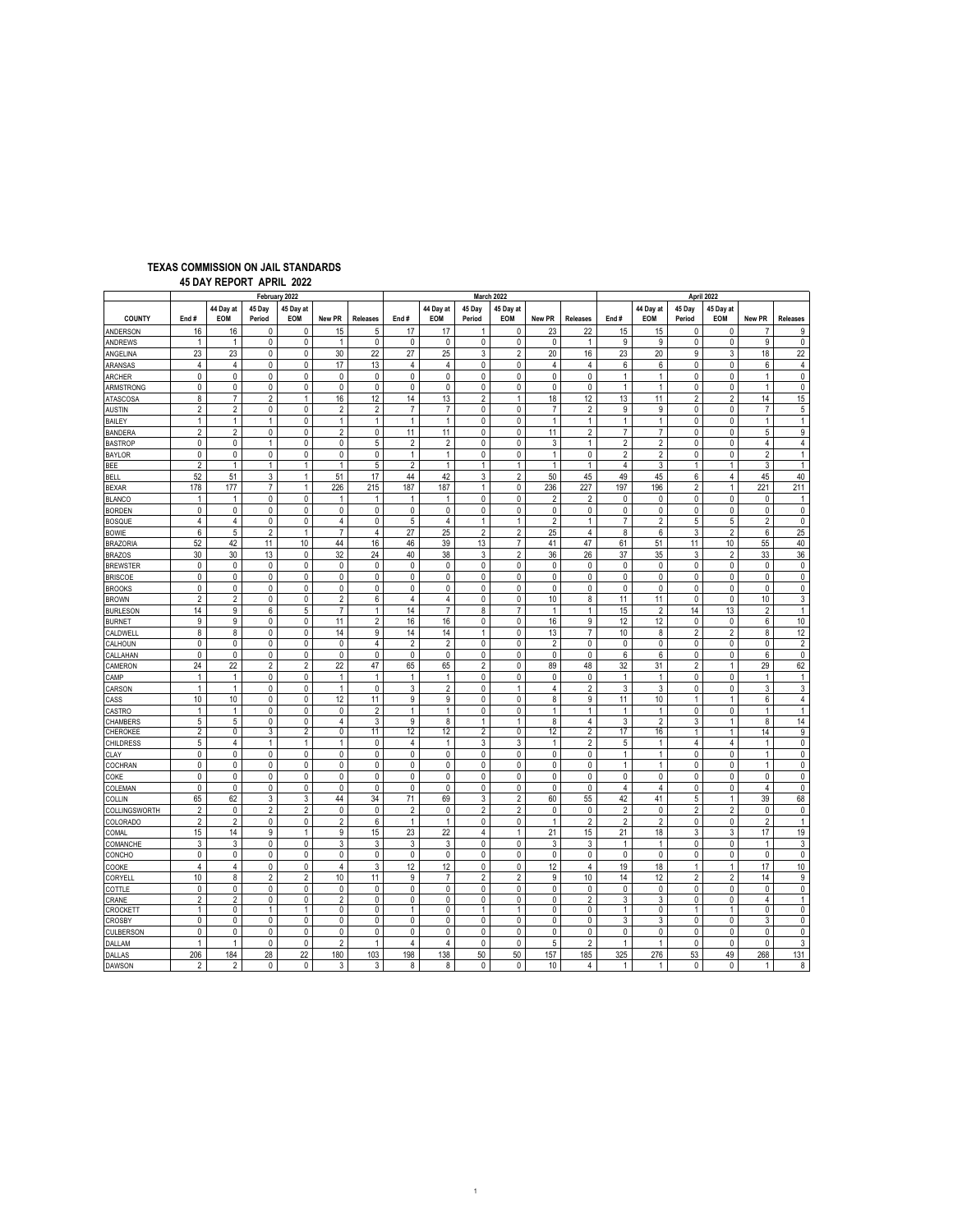| <b>TEXAS COMMISSION ON JAIL STANDARDS</b> |  |
|-------------------------------------------|--|
| 45 DAY REPORT APRIL 2022                  |  |

|                               | February 2022  |                         |                     |                   |                   |                 |                           |                           |                     | March 2022        |                | April 2022          |                              |                              |                     |                                |                              |                        |
|-------------------------------|----------------|-------------------------|---------------------|-------------------|-------------------|-----------------|---------------------------|---------------------------|---------------------|-------------------|----------------|---------------------|------------------------------|------------------------------|---------------------|--------------------------------|------------------------------|------------------------|
| <b>COUNTY</b>                 | End#           | 44 Day at<br><b>EOM</b> | 45 Day<br>Period    | 45 Day at<br>EOM  | New PR            | <b>Releases</b> | End#                      | 44 Day at<br>EOM          | 45 Day<br>Period    | 45 Day at<br>EOM  | New PR         | <b>Releases</b>     | End#                         | 44 Day at<br>EOM             | 45 Day<br>Period    | 45 Day at<br>EOM               | New PR                       | <b>Releases</b>        |
| ANDERSON                      | 16             | 16                      | 0                   | 0                 | 15                | 5               | 17                        | 17                        | 1                   | 0                 | 23             | 22                  | 15                           | 15                           | 0                   | 0                              | $\overline{7}$               | 9                      |
| ANDREWS                       | 1              | $\mathbf{1}$            | $\pmb{0}$           | 0                 | 1                 | 0               | $\pmb{0}$                 | $\pmb{0}$                 | $\pmb{0}$           | 0                 | $\pmb{0}$      | $\mathbf{1}$        | 9                            | 9                            | $\pmb{0}$           | 0                              | 9                            | $\pmb{0}$              |
| ANGELINA                      | 23             | 23                      | 0                   | 0                 | 30                | 22              | 27                        | 25                        | 3                   | $\overline{2}$    | 20             | 16                  | 23                           | 20                           | 9                   | 3                              | 18                           | 22                     |
| ARANSAS                       | 4              | 4                       | 0                   | 0                 | 17                | 13              | $\overline{4}$            | $\overline{4}$            | 0                   | 0                 | 4              | $\overline{4}$      | 6                            | 6                            | 0                   | 0                              | 6                            | 4                      |
| <b>ARCHER</b>                 | $\pmb{0}$<br>0 | 0<br>0                  | $\pmb{0}$           | $\pmb{0}$         | $\pmb{0}$         | 0<br>0          | $\pmb{0}$<br>$\mathbf{0}$ | $\pmb{0}$<br>$\mathbf{0}$ | $\pmb{0}$           | 0                 | $\pmb{0}$      | 0                   | $\mathbf{1}$<br>$\mathbf{1}$ | $\mathbf{1}$<br>$\mathbf{1}$ | 0                   | 0<br>0                         | $\mathbf{1}$<br>$\mathbf{1}$ | $\pmb{0}$<br>$\pmb{0}$ |
| ARMSTRONG<br><b>ATASCOSA</b>  | 8              | $\overline{7}$          | 0<br>$\overline{c}$ | 0<br>$\mathbf{1}$ | 0<br>16           | 12              | 14                        | 13                        | 0<br>$\overline{c}$ | 0<br>$\mathbf{1}$ | 0<br>18        | 0<br>12             | 13                           | 11                           | 0<br>$\overline{c}$ | $\overline{2}$                 | 14                           | 15                     |
| <b>AUSTIN</b>                 | $\overline{2}$ | $\overline{2}$          | 0                   | 0                 | $\overline{2}$    | $\overline{2}$  | $\overline{7}$            | $\overline{7}$            | 0                   | 0                 | $\overline{7}$ | $\overline{2}$      | 9                            | 9                            | 0                   | 0                              | $\overline{7}$               | 5                      |
| <b>BAILEY</b>                 | $\mathbf{1}$   | $\mathbf{1}$            | $\mathbf{1}$        | 0                 | $\mathbf{1}$      | $\mathbf{1}$    | $\mathbf{1}$              | $\mathbf{1}$              | 0                   | $\pmb{0}$         | $\mathbf{1}$   | $\mathbf{1}$        | $\mathbf{1}$                 | $\mathbf{1}$                 | 0                   | $\pmb{0}$                      | $\mathbf{1}$                 | $\mathbf{1}$           |
| <b>BANDERA</b>                | $\overline{2}$ | $\overline{2}$          | 0                   | 0                 | $\overline{2}$    | 0               | 11                        | 11                        | 0                   | 0                 | 11             | $\overline{2}$      | $\overline{7}$               | $\overline{7}$               | 0                   | 0                              | 5                            | 9                      |
| <b>BASTROP</b>                | $\pmb{0}$      | $\mathbf{0}$            | $\mathbf{1}$        | 0                 | 0                 | 5               | $\overline{2}$            | $\overline{2}$            | $\pmb{0}$           | $\mathbf 0$       | 3              | $\mathbf{1}$        | $\overline{2}$               | $\overline{2}$               | 0                   | $\pmb{0}$                      | $\overline{4}$               | $\sqrt{4}$             |
| <b>BAYLOR</b>                 | 0              | 0                       | 0                   | 0                 | 0                 | 0               | $\mathbf{1}$              | $\mathbf{1}$              | 0                   | 0                 | $\mathbf{1}$   | 0                   | $\overline{2}$               | $\overline{2}$               | 0                   | 0                              | $\overline{2}$               | $\mathbf{1}$           |
| BEE                           | $\overline{2}$ | $\mathbf{1}$            | 1                   | 1                 | 1                 | 5               | 2                         | $\mathbf{1}$              | $\mathbf{1}$        | $\mathbf{1}$      | 1              | $\mathbf{1}$        | 4                            | 3                            | 1                   | $\mathbf{1}$                   | 3                            | $\mathbf{1}$           |
| <b>BELL</b>                   | 52             | 51                      | 3                   | 1                 | 51                | 17              | 44                        | 42                        | 3                   | $\overline{2}$    | 50             | 45                  | 49                           | 45                           | 6                   | $\overline{4}$                 | 45                           | 40                     |
| <b>BEXAR</b>                  | 178            | 177                     | $\overline{7}$      | 1                 | 226               | 215             | 187                       | 187                       | $\mathbf{1}$        | 0                 | 236            | 227                 | 197                          | 196                          | $\overline{c}$      | $\mathbf{1}$                   | 221                          | 211                    |
| <b>BLANCO</b>                 | $\mathbf{1}$   | $\mathbf{1}$            | 0                   | 0                 | 1                 | $\mathbf{1}$    | $\mathbf{1}$              | $\mathbf{1}$              | $\mathbf 0$         | 0                 | $\overline{2}$ | $\overline{2}$      | 0                            | 0                            | 0                   | 0                              | 0                            | $\mathbf{1}$           |
| <b>BORDEN</b>                 | 0              | 0                       | 0                   | 0                 | 0                 | 0               | $\pmb{0}$                 | $\pmb{0}$                 | 0                   | 0                 | 0              | 0                   | 0                            | 0                            | 0                   | 0                              | 0                            | $\pmb{0}$              |
| <b>BOSQUE</b>                 | 4              | $\overline{4}$          | 0                   | 0                 | $\overline{4}$    | 0               | 5                         | $\overline{4}$            | $\mathbf{1}$        | $\mathbf{1}$      | $\overline{2}$ | $\mathbf{1}$        | $\overline{7}$               | $\overline{2}$               | 5                   | 5                              | $\overline{2}$               | $\pmb{0}$              |
| <b>BOWIE</b>                  | 6              | 5                       | $\overline{2}$      | $\mathbf{1}$      | $\overline{7}$    | 4               | 27                        | 25                        | $\overline{2}$      | $\overline{c}$    | 25             | $\overline{4}$      | 8                            | 6                            | 3                   | $\overline{c}$                 | 6                            | 25                     |
| <b>BRAZORIA</b>               | 52             | 42                      | 11                  | 10                | 44                | 16              | 46                        | 39                        | 13                  | $\overline{7}$    | 41             | 47                  | 61                           | 51                           | 11                  | 10                             | 55                           | 40                     |
| <b>BRAZOS</b>                 | 30             | 30                      | 13                  | $\pmb{0}$         | 32                | 24              | 40                        | 38                        | 3                   | $\sqrt{2}$        | 36             | 26                  | 37                           | 35                           | 3                   | $\overline{\mathbf{c}}$        | 33                           | 36                     |
| <b>BREWSTER</b>               | 0              | 0                       | 0                   | 0                 | 0                 | 0               | 0                         | 0                         | 0                   | 0                 | 0              | 0                   | 0                            | 0                            | 0                   | 0                              | 0                            | 0                      |
| <b>BRISCOE</b>                | 0<br>0         | 0<br>0                  | $\pmb{0}$<br>0      | $\pmb{0}$<br>0    | $\pmb{0}$<br>0    | 0<br>0          | $\pmb{0}$<br>$\mathbf{0}$ | $\pmb{0}$<br>0            | $\pmb{0}$<br>0      | 0<br>0            | $\pmb{0}$<br>0 | 0<br>0              | $\pmb{0}$<br>0               | 0<br>0                       | 0<br>0              | 0<br>0                         | $\pmb{0}$<br>0               | $\pmb{0}$<br>$\pmb{0}$ |
| <b>BROOKS</b><br><b>BROWN</b> | $\overline{2}$ | $\overline{2}$          | $\pmb{0}$           | 0                 | $\overline{2}$    | 6               | $\overline{4}$            | $\overline{4}$            | 0                   | $\pmb{0}$         | 10             | 8                   | 11                           | 11                           | $\pmb{0}$           | $\mathbf 0$                    | 10                           | 3                      |
| <b>BURLESON</b>               | 14             | 9                       | 6                   | 5                 | $\overline{7}$    | $\mathbf{1}$    | 14                        | $\overline{7}$            | 8                   | $\overline{7}$    | 1              | $\mathbf{1}$        | 15                           | $\overline{2}$               | 14                  | 13                             | $\overline{2}$               | $\mathbf{1}$           |
| <b>BURNET</b>                 | 9              | 9                       | $\mathbf 0$         | 0                 | 11                | $\overline{2}$  | 16                        | 16                        | $\pmb{0}$           | $\pmb{0}$         | 16             | 9                   | 12                           | 12                           | $\pmb{0}$           | $\pmb{0}$                      | 6                            | 10                     |
| CALDWELL                      | 8              | 8                       | 0                   | 0                 | 14                | 9               | 14                        | 14                        | $\mathbf{1}$        | 0                 | 13             | $\overline{7}$      | 10                           | 8                            | $\overline{2}$      | $\overline{2}$                 | 8                            | 12                     |
| CALHOUN                       | 0              | 0                       | 0                   | 0                 | 0                 | 4               | $\overline{2}$            | $\overline{2}$            | $\mathbf 0$         | 0                 | $\overline{2}$ | 0                   | $\mathbf{0}$                 | 0                            | 0                   | 0                              | $\mathbf 0$                  | $\overline{2}$         |
| CALLAHAN                      | 0              | 0                       | $\pmb{0}$           | 0                 | $\pmb{0}$         | 0               | $\pmb{0}$                 | $\pmb{0}$                 | $\pmb{0}$           | 0                 | $\pmb{0}$      | 0                   | 6                            | 6                            | $\pmb{0}$           | 0                              | 6                            | $\pmb{0}$              |
| CAMERON                       | 24             | 22                      | $\overline{2}$      | 2                 | 22                | 47              | 65                        | 65                        | $\overline{2}$      | 0                 | 89             | 48                  | 32                           | 31                           | 2                   | $\mathbf{1}$                   | 29                           | 62                     |
| CAMP                          | $\mathbf{1}$   | $\mathbf{1}$            | 0                   | 0                 | $\mathbf{1}$      | 1               | $\mathbf{1}$              | $\mathbf{1}$              | $\pmb{0}$           | $\pmb{0}$         | 0              | 0                   | 1                            | $\mathbf{1}$                 | 0                   | 0                              | $\mathbf{1}$                 | $\mathbf{1}$           |
| CARSON                        | $\mathbf{1}$   | $\mathbf{1}$            | $\mathbf{0}$        | 0                 | $\mathbf{1}$      | $\mathbf 0$     | 3                         | $\overline{2}$            | 0                   | $\mathbf{1}$      | 4              | $\overline{2}$      | 3                            | 3                            | 0                   | $\pmb{0}$                      | $\mathsf 3$                  | $\mathsf 3$            |
| CASS                          | 10             | 10                      | 0                   | 0                 | 12                | 11              | 9                         | 9                         | 0                   | 0                 | 8              | 9                   | 11                           | 10                           | 1                   | $\mathbf{1}$                   | $\boldsymbol{6}$             | $\sqrt{4}$             |
| CASTRO                        | 1              | $\mathbf{1}$            | 0                   | 0                 | 0                 | $\overline{2}$  | 1                         | $\mathbf{1}$              | 0                   | 0                 | 1              | 1                   | $\mathbf{1}$                 | 1                            | 0                   | $\pmb{0}$                      | $\mathbf{1}$                 | $\mathbf{1}$           |
| CHAMBERS                      | 5              | 5                       | 0                   | 0                 | 4                 | 3               | 9                         | 8                         | $\mathbf{1}$        | $\mathbf{1}$      | 8              | $\overline{4}$      | 3                            | $\overline{2}$               | 3                   | $\mathbf{1}$                   | 8                            | 14                     |
| CHEROKEE                      | 2<br>5         | 0<br>$\overline{4}$     | 3<br>$\mathbf{1}$   | 2<br>1            | 0<br>$\mathbf{1}$ | 11<br>0         | 12<br>4                   | 12<br>$\mathbf{1}$        | $\overline{2}$<br>3 | 0<br>3            | 12<br>1        | 2<br>$\overline{2}$ | 17<br>5                      | 16<br>$\mathbf{1}$           | $\mathbf{1}$<br>4   | $\mathbf{1}$<br>$\overline{4}$ | 14<br>$\mathbf{1}$           | 9<br>$\pmb{0}$         |
| <b>CHILDRESS</b>              | $\mathbf 0$    | 0                       | $\mathbf{0}$        | 0                 | 0                 | 0               | $\mathbf{0}$              | $\mathbf{0}$              | 0                   | 0                 | $\mathbf{0}$   | 0                   | $\mathbf{1}$                 | $\mathbf{1}$                 | 0                   | 0                              | $\mathbf{1}$                 | 0                      |
| CLAY<br>COCHRAN               | 0              | 0                       | 0                   | 0                 | 0                 | 0               | 0                         | 0                         | 0                   | 0                 | 0              | 0                   | $\mathbf{1}$                 | $\mathbf{1}$                 | 0                   | 0                              | $\mathbf{1}$                 | 0                      |
| COKE                          | $\pmb{0}$      | 0                       | $\pmb{0}$           | 0                 | 0                 | 0               | $\pmb{0}$                 | $\pmb{0}$                 | $\pmb{0}$           | $\pmb{0}$         | 0              | 0                   | $\pmb{0}$                    | 0                            | 0                   | 0                              | $\pmb{0}$                    | $\pmb{0}$              |
| COLEMAN                       | 0              | 0                       | 0                   | 0                 | 0                 | 0               | 0                         | 0                         | 0                   | 0                 | 0              | 0                   | 4                            | 4                            | 0                   | 0                              | $\overline{4}$               | 0                      |
| COLLIN                        | 65             | 62                      | 3                   | 3                 | 44                | 34              | 71                        | 69                        | 3                   | $\overline{c}$    | 60             | 55                  | 42                           | 41                           | 5                   | $\mathbf{1}$                   | 39                           | 68                     |
| COLLINGSWORTH                 | $\overline{2}$ | $\pmb{0}$               | $\overline{2}$      | $\overline{2}$    | $\pmb{0}$         | 0               | $\overline{2}$            | $\pmb{0}$                 | $\overline{2}$      | $\overline{c}$    | $\pmb{0}$      | $\pmb{0}$           | $\overline{2}$               | 0                            | $\overline{c}$      | $\overline{2}$                 | $\pmb{0}$                    | $\pmb{0}$              |
| COLORADO                      | 2              | $\overline{2}$          | $\mathbf 0$         | 0                 | $\overline{2}$    | 6               | $\mathbf{1}$              | $\mathbf{1}$              | $\mathbf 0$         | 0                 | $\mathbf{1}$   | $\overline{2}$      | $\overline{2}$               | $\overline{2}$               | $\mathbf 0$         | 0                              | $\overline{2}$               | $\mathbf{1}$           |
| COMAL                         | 15             | 14                      | 9                   | $\mathbf{1}$      | 9                 | 15              | 23                        | 22                        | $\overline{4}$      | $\mathbf{1}$      | 21             | 15                  | 21                           | 18                           | 3                   | 3                              | 17                           | 19                     |
| COMANCHE                      | 3              | 3                       | 0                   | 0                 | 3                 | 3               | 3                         | 3                         | 0                   | 0                 | 3              | 3                   | 1                            | $\mathbf{1}$                 | 0                   | 0                              | $\mathbf{1}$                 | 3                      |
| CONCHO                        | $\mathbf{0}$   | 0                       | $\pmb{0}$           | 0                 | 0                 | 0               | $\mathbf{0}$              | $\pmb{0}$                 | $\mathbf 0$         | $\pmb{0}$         | $\pmb{0}$      | 0                   | $\mathbf{0}$                 | 0                            | 0                   | 0                              | $\pmb{0}$                    | $\pmb{0}$              |
| COOKE                         | $\overline{4}$ | $\overline{4}$          | 0                   | 0                 | 4                 | 3               | 12                        | 12                        | 0                   | 0                 | 12             | 4                   | 19                           | 18                           | 1                   | $\mathbf{1}$                   | 17                           | 10                     |
| CORYELI                       | 10             | 8                       | $\overline{2}$      | $\overline{2}$    | 10                | 11              | 9                         | $\overline{7}$            | $\overline{2}$      | $\overline{2}$    | 9              | 10                  | 14                           | 12                           | $\overline{2}$      | $\overline{2}$                 | 14                           | 9                      |
| COTTLE                        | 0              | 0                       | $\mathbf 0$         | $\mathbf 0$       | 0                 | 0               | $\mathbf{0}$              | $\mathbf 0$               | 0                   | 0                 | $\pmb{0}$      | 0                   | $\mathbf{0}$                 | 0                            | 0                   | $\pmb{0}$                      | $\pmb{0}$                    | $\pmb{0}$              |
| CRANE                         | $\overline{2}$ | $\overline{2}$          | 0                   | 0                 | $\overline{2}$    | 0               | $\mathbf 0$               | 0                         | $\mathbf 0$         | $\mathbf 0$       | 0              | $\overline{2}$      | 3                            | 3                            | $\mathbf 0$         | 0                              | $\overline{4}$               | $\mathbf{1}$           |
| <b>CROCKETT</b>               | 1<br>0         | 0<br>0                  | 1<br>0              | 1<br>0            | 0<br>0            | 0<br>0          | $\mathbf{1}$<br>0         | 0<br>$\mathbf{0}$         | 1<br>0              | 1<br>0            | 0              | 0<br>$\mathbf{0}$   | $\mathbf{1}$<br>3            | 0<br>3                       | $\mathbf{1}$<br>0   | $\mathbf{1}$<br>0              | 0<br>3                       | 0<br>$\mathbf 0$       |
| <b>CROSBY</b>                 | 0              | 0                       | 0                   | 0                 | 0                 | 0               | 0                         | $\pmb{0}$                 | 0                   | 0                 | 0<br>0         | 0                   | $\pmb{0}$                    | 0                            | 0                   | 0                              | 0                            | 0                      |
| CULBERSON<br>DALLAM           | $\mathbf{1}$   | $\mathbf{1}$            | 0                   | 0                 | $\overline{2}$    | $\mathbf{1}$    | $\overline{4}$            | $\overline{4}$            | 0                   | 0                 | 5              | $\overline{2}$      | $\mathbf{1}$                 | $\mathbf{1}$                 | 0                   | 0                              | $\mathbf{0}$                 | 3                      |
| DALLAS                        | 206            | 184                     | 28                  | 22                | 180               | 103             | 198                       | 138                       | 50                  | 50                | 157            | 185                 | 325                          | 276                          | 53                  | 49                             | 268                          | 131                    |
| DAWSON                        | 2              | $\overline{2}$          | 0                   | 0                 | 3                 | 3               | 8                         | 8                         | 0                   | 0                 | 10             | $\overline{4}$      | $\mathbf{1}$                 | $\mathbf{1}$                 | 0                   | 0                              | $\mathbf{1}$                 | 8                      |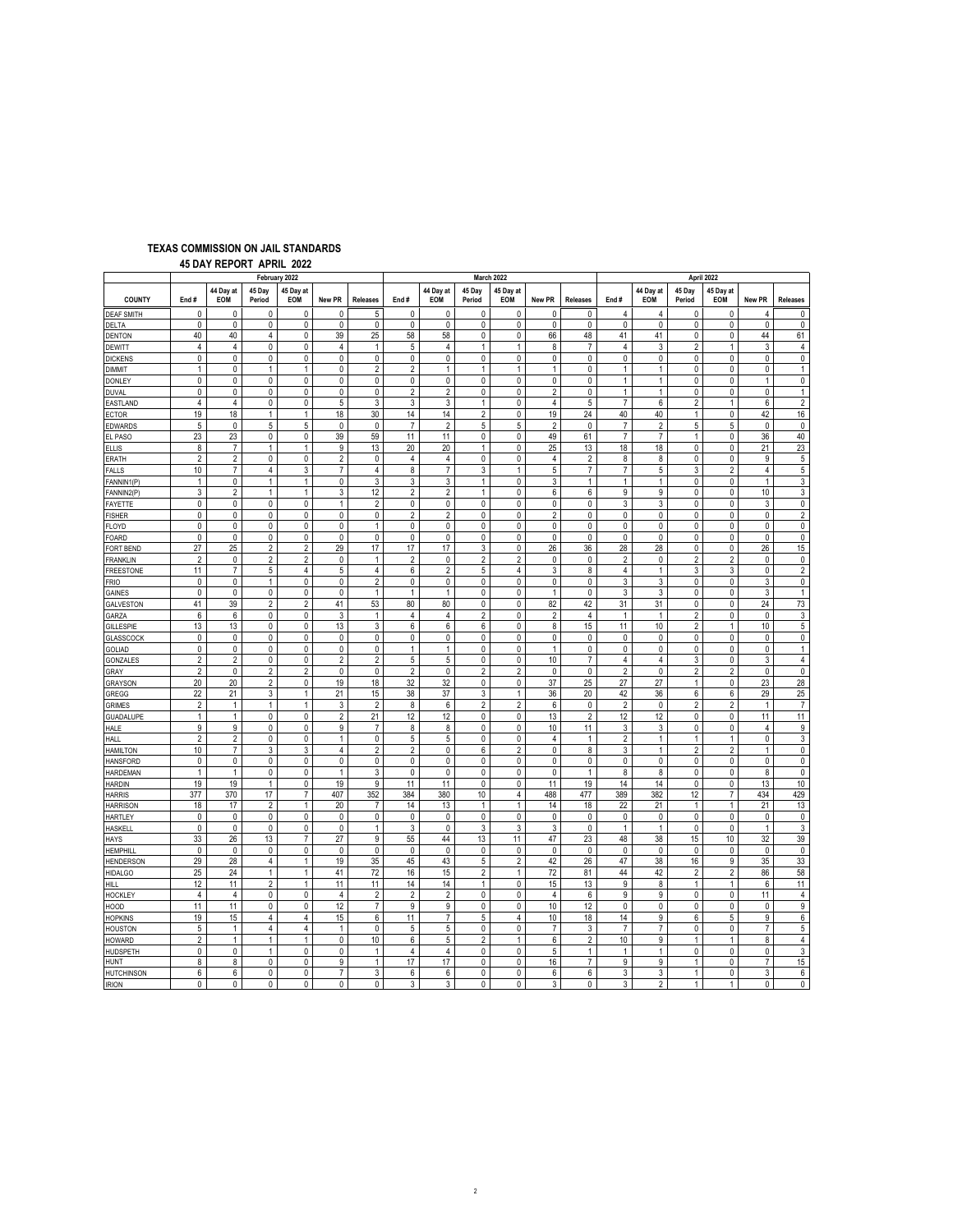## **TEXAS COMMISSION ON JAIL STANDARDS**

 **45 DAY REPORT APRIL 2022**

|                                                                                                                                                                                                                                                                                              |                              | April 2022        |                           |  |  |  |  |  |
|----------------------------------------------------------------------------------------------------------------------------------------------------------------------------------------------------------------------------------------------------------------------------------------------|------------------------------|-------------------|---------------------------|--|--|--|--|--|
| 44 Day at<br>45 Day<br>45 Day at<br>44 Day at<br>45 Day<br>45 Day at<br>44 Day at<br>45 Day<br><b>COUNTY</b><br>End#<br>EOM<br>Period<br>EOM<br>New PR<br><b>Releases</b><br>End#<br><b>EOM</b><br>Period<br>EOM<br>New PR<br><b>Releases</b><br>End#<br>EOM<br>Period                       | 45 Day at<br>EOM             | New PR            | <b>Releases</b>           |  |  |  |  |  |
| 0<br>0<br>0<br>0<br>0<br>0<br>5<br>0<br>0<br>0<br>0<br>0<br>0<br>4<br>4<br><b>DEAF SMITH</b>                                                                                                                                                                                                 | 0                            | 4                 | 0                         |  |  |  |  |  |
| 0<br>0<br>0<br>0<br>0<br>0<br>0<br>0<br>0<br>0<br>$\mathbf 0$<br>0<br>DELTA<br>0<br>0<br>$\mathbf{0}$                                                                                                                                                                                        | 0                            | $\mathbf{0}$      | $\mathbf 0$               |  |  |  |  |  |
| 40<br>40<br>39<br>25<br>0<br>0<br>41<br>41<br>4<br>0<br>58<br>58<br>66<br>48<br>0<br><b>DENTON</b>                                                                                                                                                                                           | 0                            | 44                | 61                        |  |  |  |  |  |
| $\overline{4}$<br>$\overline{4}$<br>0<br>$\sqrt{4}$<br>5<br>1<br>$\overline{4}$<br>3<br>$\overline{c}$<br>0<br>$\mathbf{1}$<br>4<br>1<br>$\overline{7}$<br>8<br><b>DEWITT</b><br>$\mathbf 0$<br>$\mathsf{O}\xspace$<br>0<br>0<br>0                                                           | $\mathbf{1}$<br>$\mathbf{0}$ | 3<br>0            | $\overline{4}$            |  |  |  |  |  |
| $\pmb{0}$<br>0<br>$\pmb{0}$<br>$\pmb{0}$<br>0<br>$\mathbf 0$<br>0<br>0<br>0<br>0<br><b>DICKENS</b><br>$\pmb{0}$<br>$\overline{2}$<br>$\overline{2}$<br>$\mathbf{1}$<br>1<br>0<br>$\mathbf{1}$<br>$\mathbf{1}$<br>1<br>1<br>0<br>$\mathbf{1}$<br>1<br>0<br>DIMMIT<br>1                        | 0                            | 0                 | $\pmb{0}$<br>$\mathbf{1}$ |  |  |  |  |  |
| 0<br>0<br>0<br>0<br>0<br>0<br>0<br>0<br>0<br>0<br>0<br>$\mathbf 0$<br>$\mathbf{1}$<br>$\mathbf{1}$<br>0<br>DONLEY                                                                                                                                                                            | 0                            | $\mathbf{1}$      | 0                         |  |  |  |  |  |
| $\overline{2}$<br>0<br>$\pmb{0}$<br>0<br>$\pmb{0}$<br>0<br>0<br>0<br>$\overline{2}$<br>$\mathbf{0}$<br>$\overline{2}$<br>$\mathbf 0$<br>$\mathbf{1}$<br>$\mathbf{1}$<br>0<br>DUVAL                                                                                                           | $\mathbf 0$                  | $\pmb{0}$         | $\mathbf{1}$              |  |  |  |  |  |
| $\overline{7}$<br>$\overline{4}$<br>0<br>5<br>3<br>3<br>$\mathbf{1}$<br>0<br>5<br>$\overline{2}$<br>$\overline{4}$<br>0<br>3<br>6<br>4<br>EASTLAND                                                                                                                                           | $\mathbf{1}$                 | 6                 | $\overline{2}$            |  |  |  |  |  |
| $\sqrt{2}$<br>19<br>18<br>18<br>30<br>14<br>14<br>0<br>40<br>40<br>1<br>19<br>24<br>1<br>1<br><b>ECTOR</b>                                                                                                                                                                                   | $\pmb{0}$                    | 42                | 16                        |  |  |  |  |  |
| 5<br>$\pmb{0}$<br>5<br>5<br>0<br>0<br>$\overline{7}$<br>$\sqrt{2}$<br>5<br>5<br>$\overline{2}$<br>$\pmb{0}$<br>$\overline{7}$<br>$\overline{2}$<br>5<br>EDWARDS                                                                                                                              | 5                            | $\pmb{0}$         | $\pmb{0}$                 |  |  |  |  |  |
| 23<br>0<br>$\overline{7}$<br>23<br>0<br>0<br>39<br>59<br>11<br>11<br>0<br>49<br>61<br>$\overline{7}$<br>$\mathbf{1}$<br>EL PASO                                                                                                                                                              | 0                            | 36                | 40                        |  |  |  |  |  |
| 9<br>20<br>20<br>18<br>8<br>$\boldsymbol{7}$<br>1<br>$\mathbf{1}$<br>13<br>1<br>0<br>25<br>13<br>18<br>0<br><b>ELLIS</b>                                                                                                                                                                     | 0                            | 21                | 23                        |  |  |  |  |  |
| $\overline{2}$<br>$\overline{2}$<br>$\mathbf 0$<br>0<br>$\overline{2}$<br>$\mathbf 0$<br>$\overline{4}$<br>$\overline{4}$<br>$\mathbf{0}$<br>$\mathbf{0}$<br>4<br>$\overline{2}$<br>8<br>$\mathbf{0}$<br>8<br>:RATH                                                                          | $\mathbf{0}$                 | 9                 | $\sqrt{5}$                |  |  |  |  |  |
| $\overline{7}$<br>$\overline{7}$<br>3<br>5<br>$\overline{7}$<br>10 <sup>1</sup><br>3<br>$\overline{7}$<br>4<br>8<br>$\mathbf{1}$<br>$\overline{7}$<br>5<br>3<br>ALLS<br>4                                                                                                                    | $\overline{2}$               | $\overline{4}$    | $\sqrt{5}$                |  |  |  |  |  |
| 0<br>3<br>$\mathbf{0}$<br>$\mathbf{1}$<br>0<br>$\mathbf{1}$<br>3<br>3<br>$\mathbf{1}$<br>3<br>$\mathbf{1}$<br>$\mathbf{1}$<br>0<br>$\mathbf{1}$<br>$\mathbf{1}$<br>ANNIN1(P)                                                                                                                 | 0                            | $\mathbf{1}$      | 3                         |  |  |  |  |  |
| $\mathsf 3$<br>$\overline{2}$<br>3<br>12<br>$\overline{2}$<br>$\overline{2}$<br>$\mathbf{1}$<br>$\mathbf{0}$<br>9<br>9<br>0<br>$\mathbf{1}$<br>$\mathbf{1}$<br>6<br>6<br>FANNIN2(P)                                                                                                          | 0                            | 10                | $\mathsf 3$               |  |  |  |  |  |
| $\pmb{0}$<br>$\mathbf 0$<br>$\mathbf 0$<br>0<br>3<br>$\mathbf 0$<br>0<br>$\mathbf{1}$<br>$\overline{2}$<br>0<br>0<br>0<br>0<br>0<br>3<br>AYETTE                                                                                                                                              | 0                            | 3                 | 0                         |  |  |  |  |  |
| $\overline{2}$<br>$\pmb{0}$<br>0<br>$\pmb{0}$<br>0<br>0<br>0<br>$\overline{2}$<br>0<br>0<br>$\overline{2}$<br>0<br>0<br>0<br>0<br><b>ISHER</b>                                                                                                                                               | 0                            | $\pmb{0}$         | $\overline{2}$            |  |  |  |  |  |
| $\pmb{0}$<br>0<br>$\pmb{0}$<br>0<br>0<br>$\mathbf{1}$<br>0<br>0<br>0<br>0<br>0<br>0<br>0<br>0<br>LOYD<br>0                                                                                                                                                                                   | $\pmb{0}$                    | $\pmb{0}$         | $\pmb{0}$                 |  |  |  |  |  |
| 0<br>0<br>0<br>0<br>0<br>0<br>0<br>0<br>0<br>0<br>0<br>0<br>0<br>0<br>0<br>OARD<br>17<br>17                                                                                                                                                                                                  | 0                            | $\pmb{0}$         | 0                         |  |  |  |  |  |
| 27<br>25<br>$\overline{2}$<br>$\overline{2}$<br>29<br>17<br>3<br>0<br>26<br>36<br>28<br>28<br>0<br>ORT BEND<br>$\overline{2}$<br>$\overline{2}$<br>$\overline{2}$<br>$\overline{2}$<br>$\overline{2}$<br>$\overline{2}$<br>0<br>0<br>$\overline{2}$<br>0<br>2<br>$\mathbf{1}$<br>0<br>0<br>0 | 0<br>$\overline{2}$          | 26<br>0           | 15<br>$\pmb{0}$           |  |  |  |  |  |
| <b>RANKLIN</b><br>11<br>$\overline{7}$<br>5<br>5<br>$\overline{4}$<br>6<br>$\sqrt{2}$<br>$\sqrt{5}$<br>$\overline{4}$<br>3<br>3<br>4<br>8<br>4<br>$\mathbf{1}$                                                                                                                               | 3                            | 0                 | $\overline{2}$            |  |  |  |  |  |
| FREESTONE<br>$\pmb{0}$<br>0<br>$\mathbf{1}$<br>0<br>0<br>$\overline{2}$<br>0<br>0<br>0<br>0<br>0<br>0<br>3<br>3<br>0<br>FRIO                                                                                                                                                                 | 0                            | 3                 | $\pmb{0}$                 |  |  |  |  |  |
| $\pmb{0}$<br>$\pmb{0}$<br>$\pmb{0}$<br>$\pmb{0}$<br>$\pmb{0}$<br>0<br>$\mathbf{1}$<br>0<br>0<br>3<br>3<br>0<br>1<br>1<br>1<br>GAINES                                                                                                                                                         | 0                            | $\mathsf 3$       | $\mathbf{1}$              |  |  |  |  |  |
| 41<br>39<br>$\overline{2}$<br>$\overline{2}$<br>41<br>53<br>80<br>80<br>0<br>0<br>82<br>42<br>31<br>31<br>0<br>GALVESTON                                                                                                                                                                     | 0                            | 24                | 73                        |  |  |  |  |  |
| 6<br>3<br>$\overline{2}$<br>$\mathbf{0}$<br>$\overline{2}$<br>6<br>0<br>0<br>$\mathbf{1}$<br>4<br>4<br>2<br>4<br>$\mathbf{1}$<br>$\mathbf{1}$<br>GARZA                                                                                                                                       | $\mathbf 0$                  | 0                 | 3                         |  |  |  |  |  |
| 6<br>13<br>13<br>0<br>13<br>3<br>6<br>6<br>$\pmb{0}$<br>10<br>0<br>8<br>15<br>11<br>$\overline{2}$<br><b>GILLESPIE</b>                                                                                                                                                                       | 1                            | 10                | 5                         |  |  |  |  |  |
| 0<br>0<br>0<br>0<br>0<br>0<br>0<br>0<br>0<br>0<br>0<br>0<br>0<br>0<br>0<br><b>GLASSCOCK</b>                                                                                                                                                                                                  | 0                            | 0                 | 0                         |  |  |  |  |  |
| $\pmb{0}$<br>0<br>0<br>0<br>0<br>0<br>$\mathbf{1}$<br>$\mathbf{1}$<br>0<br>0<br>$\mathbf{1}$<br>0<br>0<br>0<br>0<br><b>GOLIAD</b>                                                                                                                                                            | 0                            | 0                 | $\mathbf{1}$              |  |  |  |  |  |
| $\overline{2}$<br>$\overline{2}$<br>$\overline{2}$<br>$\overline{2}$<br>5<br>5<br>$\pmb{0}$<br>10<br>0<br>0<br>0<br>$\overline{7}$<br>4<br>4<br>3<br><b>GONZALES</b>                                                                                                                         | 0                            | 3                 | $\overline{4}$            |  |  |  |  |  |
| $\sqrt{2}$<br>$\pmb{0}$<br>$\pmb{0}$<br>$\sqrt{2}$<br>0<br>$\overline{c}$<br>$\overline{2}$<br>$\pmb{0}$<br>$\sqrt{2}$<br>2<br>0<br>0<br>$\overline{c}$<br>0<br>$\overline{2}$<br>GRAY                                                                                                       | $\sqrt{2}$                   | $\pmb{0}$         | $\pmb{0}$                 |  |  |  |  |  |
| 20<br>20<br>$\overline{2}$<br>19<br>18<br>32<br>32<br>0<br>$\mathbf{0}$<br>37<br>25<br>27<br>27<br>$\mathbf{1}$<br>0<br><b>GRAYSON</b>                                                                                                                                                       | $\mathbf 0$                  | 23                | 28                        |  |  |  |  |  |
| 22<br>21<br>3<br>42<br>21<br>3<br>15<br>38<br>37<br>$\mathbf{1}$<br>36<br>20<br>36<br>6<br>1<br>GREGG                                                                                                                                                                                        | 6                            | 29                | 25                        |  |  |  |  |  |
| $\sqrt{2}$<br>$\sqrt{2}$<br>$\sqrt{2}$<br>$\overline{c}$<br>$\overline{\mathbf{c}}$<br>$\mathbf{1}$<br>$\mathbf{1}$<br>$\mathbf{1}$<br>3<br>8<br>6<br>$\overline{c}$<br>6<br>0<br>0<br><b>GRIMES</b>                                                                                         | $\overline{2}$               | $\mathbf{1}$      | $\overline{7}$            |  |  |  |  |  |
| $\mathbf{1}$<br>$\pmb{0}$<br>$\overline{2}$<br>21<br>12<br>12<br>0<br>0<br>13<br>$\overline{2}$<br>12<br>$\mathbf{1}$<br>0<br>12<br>0<br>GUADALUPE                                                                                                                                           | 0                            | 11                | 11                        |  |  |  |  |  |
| $\overline{9}$<br>9<br>$\pmb{0}$<br>0<br>9<br>8<br>0<br>10<br>3<br>0<br>$\overline{7}$<br>8<br>11<br>3<br>0<br>HALE                                                                                                                                                                          | 0                            | $\sqrt{4}$        | 9                         |  |  |  |  |  |
| $\overline{2}$<br>$\overline{2}$<br>0<br>0<br>$\mathbf{1}$<br>0<br>5<br>5<br>0<br>0<br>4<br>$\mathbf{1}$<br>$\overline{2}$<br>$\mathbf{1}$<br>$\mathbf{1}$<br>HALL                                                                                                                           | $\mathbf{1}$                 | 0                 | 3                         |  |  |  |  |  |
| 10<br>$\overline{7}$<br>3<br>$\sqrt{4}$<br>$\overline{2}$<br>$\sqrt{2}$<br>$\pmb{0}$<br>6<br>$\overline{c}$<br>0<br>8<br>3<br>$\sqrt{2}$<br>3<br>$\mathbf{1}$<br><b>HAMILTON</b><br>$\mathbf{0}$<br>0<br>0<br>0<br>0<br>0<br>0<br>0<br>$\mathbf{0}$<br>0<br>$\mathbf 0$                      | $\overline{2}$               | $\mathbf{1}$<br>0 | $\pmb{0}$<br>$\mathbf{0}$ |  |  |  |  |  |
| 0<br>0<br>0<br>0<br><b>HANSFORD</b><br>$\mathbf{1}$<br>$\mathbf{1}$<br>0<br>3<br>$\pmb{0}$<br>0<br>0<br>0<br>1<br>0<br>0<br>0<br>$\mathbf{1}$<br>8<br>8                                                                                                                                      | 0<br>0                       | 8                 | 0                         |  |  |  |  |  |
| <b>HARDEMAN</b><br>19<br>19<br>$\mathbf{1}$<br>0<br>19<br>9<br>11<br>11<br>0<br>0<br>11<br>19<br>14<br>14<br>0<br><b>HARDIN</b>                                                                                                                                                              | 0                            | 13                | 10                        |  |  |  |  |  |
| 10<br>377<br>370<br>17<br>407<br>352<br>384<br>380<br>389<br>382<br>12<br>7<br>4<br>488<br>477<br><b>HARRIS</b>                                                                                                                                                                              | $\overline{7}$               | 434               | 429                       |  |  |  |  |  |
| 18<br>17<br>$\overline{2}$<br>$\mathbf{1}$<br>20<br>$\overline{7}$<br>14<br>13<br>$\mathbf{1}$<br>$\mathbf{1}$<br>14<br>18<br>22<br>21<br>$\mathbf{1}$<br><b>HARRISON</b>                                                                                                                    | $\mathbf{1}$                 | 21                | 13                        |  |  |  |  |  |
| 0<br>$\mathbf{0}$<br>0<br>0<br>0<br>0<br>0<br>0<br>0<br>0<br>0<br>0<br>0<br>0<br>0<br>HARTLEY                                                                                                                                                                                                | $\mathbf 0$                  | 0                 | 0                         |  |  |  |  |  |
| $\pmb{0}$<br>$\pmb{0}$<br>$\pmb{0}$<br>3<br>3<br>0<br>0<br>0<br>3<br>3<br>0<br>0<br>1<br>$\mathbf{1}$<br>$\mathbf{1}$<br>HASKELI                                                                                                                                                             | 0                            | 1                 | $\mathsf 3$               |  |  |  |  |  |
| 33<br>26<br>13<br>$\overline{7}$<br>27<br>9<br>55<br>44<br>13<br>11<br>47<br>23<br>48<br>38<br>15<br>HAYS                                                                                                                                                                                    | $10$                         | 32                | 39                        |  |  |  |  |  |
| $\mathsf{O}\xspace$<br>$\pmb{0}$<br>$\pmb{0}$<br>$\pmb{0}$<br>0<br>$\mathsf{O}\xspace$<br>$\pmb{0}$<br>$\pmb{0}$<br>0<br>0<br>0<br>0<br>0<br>$\pmb{0}$<br>0<br><b>HEMPHILI</b>                                                                                                               | 0                            | $\pmb{0}$         | $\pmb{0}$                 |  |  |  |  |  |
| 29<br>5<br>$\overline{2}$<br>28<br>4<br>$\mathbf{1}$<br>19<br>35<br>45<br>43<br>42<br>26<br>47<br>38<br>16<br><b>HENDERSON</b>                                                                                                                                                               | 9                            | 35                | 33                        |  |  |  |  |  |
| $\overline{c}$<br>44<br>25<br>24<br>$\mathbf{1}$<br>$\mathbf{1}$<br>41<br>72<br>16<br>15<br>$\mathbf{1}$<br>72<br>81<br>42<br>$\overline{2}$<br><b>HIDALGO</b>                                                                                                                               | $\sqrt{2}$                   | 86                | 58                        |  |  |  |  |  |
| $\overline{2}$<br>$\mathbf 0$<br>12<br>$\mathbf{1}$<br>11<br>14<br>14<br>$\mathbf{1}$<br>15<br>9<br>$\mathbf{1}$<br>11<br>11<br>13<br>8<br>HILL.                                                                                                                                             | $\mathbf{1}$                 | 6                 | 11                        |  |  |  |  |  |
| 4<br>4<br>0<br>4<br>$\overline{2}$<br>$\overline{2}$<br>$\overline{2}$<br>0<br>0<br>9<br>0<br>0<br>4<br>6<br>9<br><b>HOCKLEY</b>                                                                                                                                                             | 0                            | 11                | $\overline{4}$            |  |  |  |  |  |
| 11<br>11<br>$\pmb{0}$<br>0<br>12<br>$\overline{7}$<br>9<br>9<br>0<br>0<br>10<br>12<br>0<br>0<br>0<br>HOOD                                                                                                                                                                                    | 0                            | 0                 | 9                         |  |  |  |  |  |
| 6<br>$\overline{7}$<br>5<br>19<br>15<br>15<br>11<br>10<br>14<br>9<br>4<br>4<br>4<br>18<br>6<br><b>HOPKINS</b>                                                                                                                                                                                | 5                            | 9                 | 6                         |  |  |  |  |  |
| 5<br>$\sqrt{5}$<br>5<br>0<br>$\mathsf{O}\xspace$<br>$\overline{4}$<br>$\mathbf{1}$<br>0<br>$\overline{7}$<br>0<br>$\mathbf{1}$<br>4<br>7<br>3<br>$\overline{7}$<br><b>HOUSTON</b>                                                                                                            | 0                            | $\overline{7}$    | 5                         |  |  |  |  |  |
| $\overline{2}$<br>$\mathbf{1}$<br>0<br>10<br>6<br>5<br>$\overline{2}$<br>$\mathbf{1}$<br>$\overline{2}$<br>10<br>9<br><b>HOWARD</b><br>$\mathbf{1}$<br>$\mathbf{1}$<br>6<br>1<br>$\pmb{0}$<br>$\pmb{0}$<br>$\mathbf{1}$<br>0<br>$\mathsf{O}\xspace$<br>$\mathbf{1}$<br>$\mathbf{1}$          | $\mathbf{1}$<br>0            | 8<br>0            | $\overline{4}$<br>3       |  |  |  |  |  |
| 0<br>0<br>$\mathbf{1}$<br>4<br>4<br>5<br>0<br>HUDSPETH<br>$\mathbf{1}$<br>8<br>8<br>0<br>9<br>17<br>17<br>0<br>$\mathbf{0}$<br>9<br>9<br>0<br>$\mathbf{1}$<br>16<br>$\overline{7}$<br>1<br>HUNT                                                                                              | 0                            | $\overline{7}$    | 15                        |  |  |  |  |  |
| 6<br>3<br>6<br>0<br>0<br>$\overline{7}$<br>6<br>6<br>0<br>$\mathbf{0}$<br>6<br>6<br>3<br>3<br>$\mathbf{1}$<br><b>HUTCHINSON</b>                                                                                                                                                              | 0                            | 3                 | $6\phantom{.0}$           |  |  |  |  |  |
| 3<br>$\overline{1}$<br>0<br>0<br>0<br>0<br>0<br>0<br>3<br>0<br>0<br>3<br>$\mathbf 0$<br>3<br>$\overline{2}$<br><b>IRION</b>                                                                                                                                                                  | $\mathbf{1}$                 | 0                 | $\mathbf{0}$              |  |  |  |  |  |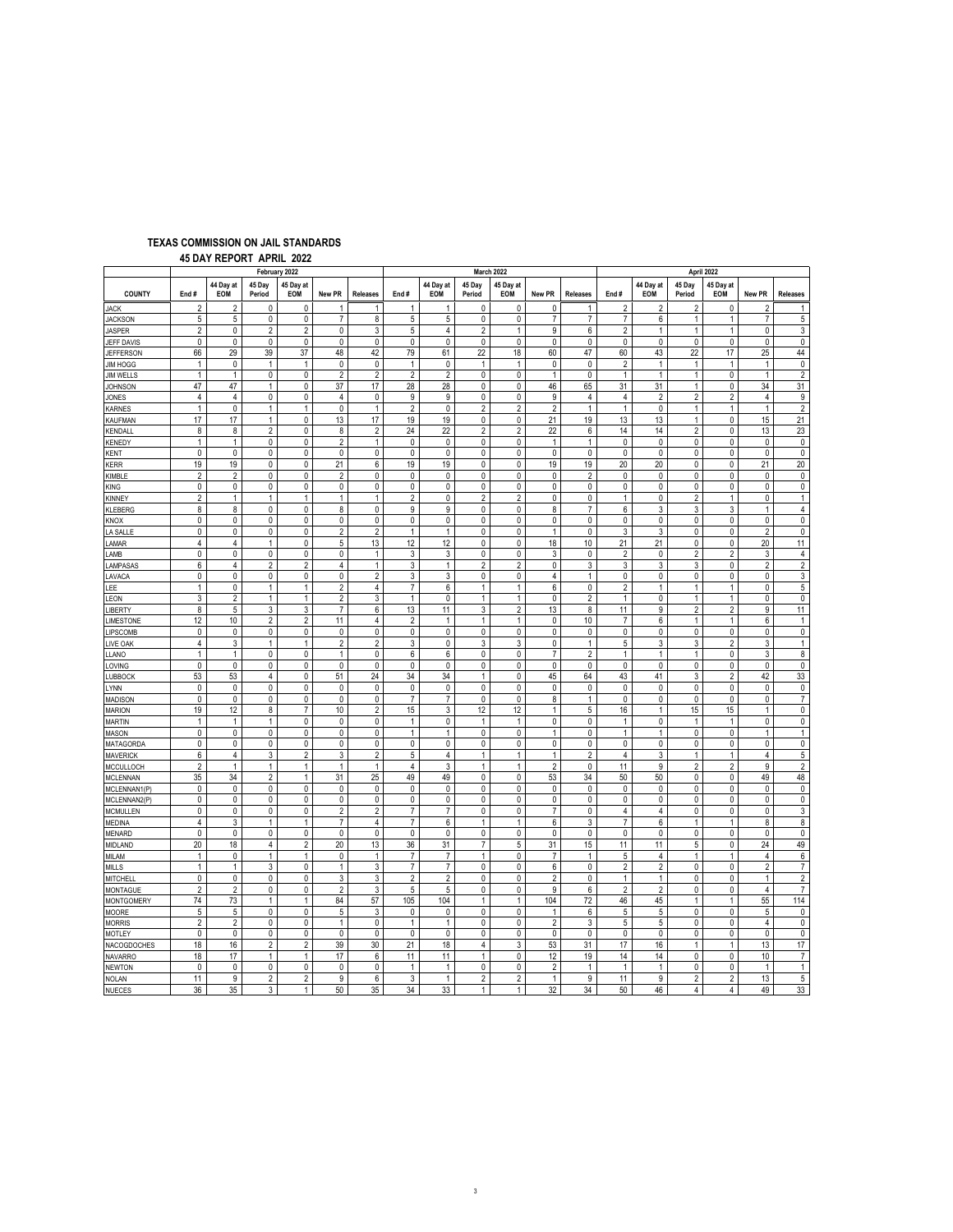# **TEXAS COMMISSION ON JAIL STANDARDS**

 **45 DAY REPORT APRIL 2022**

| February 2022                       |                                           |                         |                        |                             |                     |                         | March 2022                     |                             |                             |                          |                     |                                |                      | April 2022              |                     |                             |                              |                             |  |  |
|-------------------------------------|-------------------------------------------|-------------------------|------------------------|-----------------------------|---------------------|-------------------------|--------------------------------|-----------------------------|-----------------------------|--------------------------|---------------------|--------------------------------|----------------------|-------------------------|---------------------|-----------------------------|------------------------------|-----------------------------|--|--|
| <b>COUNTY</b>                       | End#                                      | 44 Dav at<br><b>EOM</b> | 45 Dav<br>Period       | 45 Day at<br>EOM            | New PR              | <b>Releases</b>         | End#                           | 44 Day at<br>EOM            | 45 Dav<br>Period            | 45 Day at<br>EOM         | New PR              | <b>Releases</b>                | End#                 | 44 Day at<br><b>EOM</b> | 45 Dav<br>Period    | 45 Day at<br>EOM            | New PR                       | <b>Releases</b>             |  |  |
| JACK                                | $\overline{2}$                            | $\overline{2}$          | 0                      | $\mathbf 0$                 | 1                   | 1                       | $\mathbf{1}$                   | $\mathbf{1}$                | 0                           | 0                        | 0                   | 1                              | $\overline{2}$       | $\overline{2}$          | $\overline{2}$      | 0                           | $\overline{2}$               | $\mathbf{1}$                |  |  |
| <b>JACKSON</b>                      | 5                                         | 5                       | 0                      | 0                           | $\overline{7}$      | 8                       | 5                              | 5                           | 0                           | 0                        | $\overline{7}$      | $\overline{7}$                 | $\overline{7}$       | 6                       | $\mathbf{1}$        | $\mathbf{1}$                | $\overline{7}$               | $\,$ 5 $\,$                 |  |  |
| <b>JASPER</b>                       | $\overline{2}$                            | 0                       | $\overline{2}$         | $\overline{c}$              | 0                   | 3                       | 5                              | 4                           | $\overline{2}$              | $\mathbf{1}$             | 9                   | 6                              | $\overline{2}$       | 1                       | $\mathbf{1}$        | $\mathbf{1}$                | 0                            | $\sqrt{3}$                  |  |  |
| JEFF DAVIS                          | $\pmb{0}$                                 | 0                       | $\pmb{0}$              | $\pmb{0}$                   | 0                   | 0                       | $\pmb{0}$                      | $\pmb{0}$                   | $\pmb{0}$                   | $\pmb{0}$                | 0                   | 0                              | 0                    | 0                       | $\pmb{0}$           | $\pmb{0}$                   | 0                            | $\pmb{0}$                   |  |  |
| <b>JEFFERSON</b>                    | 66                                        | 29                      | 39                     | 37                          | 48                  | 42                      | 79                             | 61                          | 22                          | 18<br>$\overline{1}$     | 60                  | 47                             | 60                   | 43                      | 22                  | 17                          | 25                           | 44                          |  |  |
| <b>JIM HOGG</b><br><b>JIM WELLS</b> | 1<br>$\mathbf{1}$                         | 0<br>1                  | $\mathbf{1}$<br>0      | $\mathbf{1}$<br>$\mathbf 0$ | 0<br>$\overline{2}$ | 0<br>$\overline{2}$     | $\mathbf{1}$<br>$\overline{2}$ | $\pmb{0}$<br>$\overline{2}$ | $\mathbf{1}$<br>$\mathbf 0$ | $\mathbf 0$              | 0<br>$\mathbf{1}$   | 0<br>0                         | 2<br>1               | 1<br>$\mathbf{1}$       | $\mathbf{1}$<br>1   | $\mathbf{1}$<br>$\mathbf 0$ | $\mathbf{1}$<br>$\mathbf{1}$ | $\pmb{0}$<br>$\overline{2}$ |  |  |
| <b>JOHNSON</b>                      | 47                                        | 47                      | $\mathbf{1}$           | $\mathbf 0$                 | 37                  | 17                      | 28                             | 28                          | $\mathbf 0$                 | $\mathbf 0$              | 46                  | 65                             | 31                   | 31                      | $\mathbf{1}$        | $\mathbf{0}$                | 34                           | 31                          |  |  |
| JONES                               | 4                                         | 4                       | 0                      | 0                           | 4                   | 0                       | 9                              | 9                           | 0                           | 0                        | 9                   | 4                              | 4                    | 2                       | $\overline{2}$      | $\overline{2}$              | 4                            | 9                           |  |  |
| <b>KARNES</b>                       | $\mathbf{1}$                              | $\pmb{0}$               | $\mathbf{1}$           | $\mathbf{1}$                | 0                   | $\mathbf{1}$            | $\overline{2}$                 | $\pmb{0}$                   | $\overline{2}$              | $\overline{2}$           | $\overline{2}$      | $\mathbf{1}$                   | $\mathbf{1}$         | 0                       | 1                   | $\mathbf{1}$                | $\mathbf{1}$                 | $\overline{2}$              |  |  |
| KAUFMAN                             | 17                                        | 17                      | $\mathbf{1}$           | 0                           | 13                  | 17                      | 19                             | 19                          | $\pmb{0}$                   | $\pmb{0}$                | 21                  | 19                             | 13                   | 13                      | 1                   | $\pmb{0}$                   | 15                           | 21                          |  |  |
| KENDALL                             | $\bf 8$                                   | 8                       | $\overline{2}$         | $\pmb{0}$                   | 8                   | $\overline{2}$          | 24                             | 22                          | $\overline{2}$              | $\overline{2}$           | 22                  | 6                              | 14                   | 14                      | $\overline{c}$      | 0                           | 13                           | 23                          |  |  |
| <b>KENEDY</b>                       | $\mathbf{1}$                              | $\mathbf{1}$            | $\pmb{0}$              | 0                           | $\overline{2}$      | $\mathbf{1}$            | $\pmb{0}$                      | $\pmb{0}$                   | $\pmb{0}$                   | $\pmb{0}$                | $\mathbf{1}$        | $\mathbf{1}$                   | 0                    | 0                       | 0                   | $\pmb{0}$                   | 0                            | $\pmb{0}$                   |  |  |
| KENT                                | $\mathbf{0}$                              | 0                       | 0                      | $\mathbf 0$                 | $\mathbf 0$         | $\mathbf 0$             | $\mathbf 0$                    | $\mathbf 0$                 | $\mathbf 0$                 | $\pmb{0}$                | $\mathbf{0}$        | $\mathbf 0$                    | 0                    | 0                       | 0                   | $\mathbf 0$                 | $\mathbf 0$                  | $\pmb{0}$                   |  |  |
| <b>KERR</b>                         | 19                                        | 19                      | 0                      | 0                           | 21                  | 6                       | 19                             | 19                          | $\pmb{0}$                   | $\mathbf 0$              | 19                  | 19                             | 20                   | 20                      | 0                   | $\mathbf 0$                 | 21                           | 20                          |  |  |
| KIMBLE                              | 2                                         | 2                       | 0                      | 0                           | 2                   | 0                       | 0                              | 0                           | $\pmb{0}$                   | $\pmb{0}$                | 0                   | 2                              | 0                    | 0                       | 0                   | 0                           | 0                            | 0                           |  |  |
| KING                                | $\pmb{0}$                                 | $\pmb{0}$               | $\pmb{0}$              | $\pmb{0}$                   | 0                   | $\pmb{0}$               | $\pmb{0}$                      | $\pmb{0}$                   | $\pmb{0}$                   | $\pmb{0}$                | 0                   | 0                              | 0                    | 0                       | 0                   | $\pmb{0}$                   | $\pmb{0}$                    | $\pmb{0}$                   |  |  |
| <b>KINNEY</b>                       | $\overline{2}$                            | 1                       | 1                      | $\mathbf{1}$                | $\mathbf{1}$        | $\mathbf{1}$            | $\overline{2}$                 | $\pmb{0}$                   | $\overline{2}$              | $\overline{2}$           | $\pmb{0}$           | 0                              | $\mathbf{1}$         | 0                       | $\overline{c}$      | $\mathbf{1}$                | $\pmb{0}$                    | $\mathbf{1}$                |  |  |
| KLEBERG                             | 8                                         | 8                       | $\pmb{0}$              | $\pmb{0}$                   | 8                   | 0                       | 9                              | 9                           | $\pmb{0}$                   | 0                        | 8                   | $\overline{7}$                 | 6                    | 3                       | 3                   | $\mathsf 3$                 | $\mathbf{1}$                 | $\sqrt{4}$                  |  |  |
| KNOX                                | 0                                         | 0                       | $\pmb{0}$              | 0                           | 0                   | 0                       | $\pmb{0}$                      | $\pmb{0}$                   | $\pmb{0}$                   | 0                        | 0                   | 0                              | 0                    | 0                       | 0                   | 0                           | 0                            | $\pmb{0}$                   |  |  |
| LA SALLE                            | $\mathbf 0$<br>$\overline{4}$             | 0<br>$\overline{4}$     | 0                      | 0                           | $\overline{2}$      | $\overline{2}$          | $\mathbf{1}$                   | $\mathbf{1}$                | $\mathbf 0$                 | $\pmb{0}$<br>$\mathbf 0$ | $\mathbf{1}$        | $\mathbf 0$<br>10 <sup>°</sup> | 3                    | 3                       | 0                   | $\mathbf 0$<br>$\mathbf 0$  | $\overline{2}$               | $\mathbf 0$                 |  |  |
| LAMAR                               | $\pmb{0}$                                 | $\pmb{0}$               | 1<br>$\pmb{0}$         | 0<br>$\pmb{0}$              | 5<br>$\pmb{0}$      | 13<br>$\mathbf{1}$      | 12<br>3                        | 12<br>3                     | $\pmb{0}$<br>$\pmb{0}$      | $\pmb{0}$                | 18<br>3             |                                | 21<br>$\overline{2}$ | 21                      | 0<br>$\overline{2}$ | $\overline{2}$              | 20                           | 11<br>$\sqrt{4}$            |  |  |
| AMB<br><b>AMPASAS</b>               | 6                                         | 4                       | $\overline{2}$         | $\overline{c}$              | $\overline{4}$      | $\mathbf{1}$            | $\mathsf 3$                    | $\mathbf{1}$                | $\overline{2}$              | $\overline{2}$           | 0                   | 0<br>3                         | 3                    | 0<br>3                  | 3                   | $\mathbf 0$                 | 3<br>$\overline{2}$          | $\sqrt{2}$                  |  |  |
| LAVACA                              | $\pmb{0}$                                 | 0                       | $\pmb{0}$              | $\pmb{0}$                   | $\pmb{0}$           | $\overline{\mathbf{c}}$ | 3                              | 3                           | $\pmb{0}$                   | $\pmb{0}$                | $\overline{4}$      | 1                              | 0                    | 0                       | $\pmb{0}$           | $\pmb{0}$                   | $\pmb{0}$                    | $\mathsf 3$                 |  |  |
| LEE                                 | $\mathbf{1}$                              | 0                       | $\mathbf{1}$           | $\mathbf{1}$                | $\overline{2}$      | $\overline{4}$          | $\overline{7}$                 | 6                           | $\mathbf{1}$                | $\mathbf{1}$             | 6                   | $\mathbf 0$                    | 2                    | $\mathbf{1}$            | $\mathbf{1}$        | $\mathbf{1}$                | 0                            | $\,$ 5 $\,$                 |  |  |
| LEON                                | 3                                         | 2                       | 1                      | 1                           | $\overline{2}$      | 3                       | $\mathbf{1}$                   | $\pmb{0}$                   | $\mathbf{1}$                | $\mathbf{1}$             | $\pmb{0}$           | $\overline{2}$                 | $\mathbf{1}$         | 0                       | 1                   | $\mathbf{1}$                | 0                            | $\pmb{0}$                   |  |  |
| <b>LIBERTY</b>                      | 8                                         | 5                       | 3                      | 3                           | $\overline{7}$      | 6                       | 13                             | 11                          | 3                           | $\overline{2}$           | 13                  | 8                              | 11                   | 9                       | $\overline{c}$      | $\overline{2}$              | 9                            | 11                          |  |  |
| LIMESTONE                           | 12                                        | 10                      | $\overline{2}$         | 2                           | 11                  | 4                       | 2                              | 1                           | 1                           | 1                        | 0                   | 10                             | $\overline{7}$       | 6                       | 1                   | 1                           | 6                            | $\mathbf{1}$                |  |  |
| LIPSCOMB                            | $\pmb{0}$                                 | 0                       | $\pmb{0}$              | $\pmb{0}$                   | 0                   | $\pmb{0}$               | $\pmb{0}$                      | $\pmb{0}$                   | $\pmb{0}$                   | $\pmb{0}$                | 0                   | $\mathbf 0$                    | 0                    | 0                       | $\pmb{0}$           | $\pmb{0}$                   | $\pmb{0}$                    | $\pmb{0}$                   |  |  |
| LIVE OAK                            | $\overline{4}$                            | 3                       | $\mathbf{1}$           | $\mathbf{1}$                | $\overline{2}$      | $\overline{2}$          | 3                              | 0                           | 3                           | 3                        | 0                   | $\mathbf{1}$                   | 5                    | 3                       | 3                   | $\overline{2}$              | 3                            | $\mathbf{1}$                |  |  |
| LLANO                               | 1                                         | 1                       | $\pmb{0}$              | 0                           | $\mathbf{1}$        | 0                       | 6                              | 6                           | $\pmb{0}$                   | $\pmb{0}$                | $\boldsymbol{7}$    | $\overline{2}$                 | $\mathbf{1}$         | 1                       | 1                   | $\pmb{0}$                   | 3                            | 8                           |  |  |
| LOVING                              | $\mathbf 0$                               | $\mathbf 0$             | 0                      | $\mathbf 0$                 | $\mathbf 0$         | 0                       | $\pmb{0}$                      | $\pmb{0}$                   | $\mathbf 0$                 | $\pmb{0}$                | 0                   | $\mathbf 0$                    | 0                    | 0                       | 0                   | $\mathbf 0$                 | $\mathbf 0$                  | $\pmb{0}$                   |  |  |
| LUBBOCK                             | 53                                        | 53                      | $\overline{4}$         | 0                           | 51                  | 24                      | 34                             | 34                          | $\mathbf{1}$                | 0                        | 45                  | 64                             | 43                   | 41                      | 3                   | $\overline{2}$              | 42                           | 33                          |  |  |
| <b>YNN</b>                          | $\mathbf 0$                               | 0                       | 0                      | $\mathbf 0$                 | 0                   | 0                       | $\pmb{0}$                      | $\pmb{0}$                   | $\mathbf 0$                 | 0                        | 0                   | 0                              | 0                    | 0                       | 0                   | $\mathbf 0$                 | 0                            | $\mathbf 0$                 |  |  |
| MADISON                             | $\mathbf 0$                               | 0                       | 0                      | 0                           | 0                   | 0                       | $\overline{7}$                 | $\overline{7}$              | $\pmb{0}$                   | 0                        | 8                   | $\mathbf{1}$                   | 0                    | 0                       | 0                   | $\mathbf 0$                 | 0                            | $\overline{7}$              |  |  |
| <b>MARION</b>                       | 19                                        | 12                      | 8                      | $\overline{7}$              | 10                  | $\overline{2}$          | 15                             | $\mathsf 3$                 | 12                          | 12                       | $\mathbf{1}$        | 5                              | 16                   | $\mathbf{1}$            | 15                  | 15                          | $\mathbf{1}$                 | $\pmb{0}$                   |  |  |
| <b>MARTIN</b>                       | $\mathbf{1}$                              | $\mathbf{1}$            | $\mathbf{1}$           | $\pmb{0}$                   | $\mathbf 0$         | $\mathbf{0}$            | $\mathbf{1}$                   | $\pmb{0}$                   | $\mathbf{1}$                | $\mathbf{1}$             | $\pmb{0}$           | $\mathbf 0$                    | $\mathbf{1}$         | 0                       | $\mathbf{1}$        | $\mathbf{1}$                | $\mathbf 0$                  | $\pmb{0}$                   |  |  |
| MASON                               | $\pmb{0}$<br>$\mathbf 0$                  | 0<br>0                  | $\pmb{0}$<br>$\pmb{0}$ | $\pmb{0}$<br>$\pmb{0}$      | 0<br>0              | 0<br>0                  | $\mathbf{1}$<br>$\pmb{0}$      | $\mathbf{1}$<br>$\pmb{0}$   | $\pmb{0}$<br>$\pmb{0}$      | $\pmb{0}$<br>$\pmb{0}$   | $\mathbf{1}$<br>0   | 0<br>$\mathbf 0$               | $\mathbf{1}$<br>0    | 1<br>0                  | $\pmb{0}$<br>0      | $\pmb{0}$<br>$\mathbf 0$    | 1<br>0                       | $\mathbf{1}$<br>$\pmb{0}$   |  |  |
| MATAGORDA<br>MAVERICK               | 6                                         | 4                       | 3                      | $\overline{c}$              | 3                   | $\overline{2}$          | 5                              | $\overline{4}$              | $\mathbf{1}$                | $\overline{1}$           | $\mathbf{1}$        | 2                              | 4                    | 3                       | $\mathbf{1}$        | $\mathbf{1}$                | 4                            | 5                           |  |  |
| MCCULLOCH                           | $\overline{2}$                            | $\mathbf{1}$            | $\mathbf{1}$           | $\mathbf{1}$                | $\mathbf{1}$        | $\mathbf{1}$            | $\overline{4}$                 | 3                           | $\mathbf{1}$                | $\mathbf{1}$             | $\overline{2}$      | $\mathbf 0$                    | 11                   | 9                       | 2                   | $\overline{2}$              | 9                            | $\overline{2}$              |  |  |
| <b>MCLENNAN</b>                     | 35                                        | 34                      | $\overline{2}$         | $\mathbf{1}$                | 31                  | 25                      | 49                             | 49                          | $\mathbf 0$                 | $\mathbf 0$              | 53                  | 34                             | 50                   | 50                      | 0                   | $\mathbf 0$                 | 49                           | 48                          |  |  |
| MCLENNAN1(P)                        | $\pmb{0}$                                 | 0                       | $\pmb{0}$              | $\pmb{0}$                   | $\pmb{0}$           | $\pmb{0}$               | $\pmb{0}$                      | $\pmb{0}$                   | $\pmb{0}$                   | $\pmb{0}$                | 0                   | 0                              | 0                    | 0                       | $\pmb{0}$           | $\pmb{0}$                   | 0                            | $\pmb{0}$                   |  |  |
| MCLENNAN2(P)                        | $\mathbf 0$                               | 0                       | $\pmb{0}$              | $\pmb{0}$                   | 0                   | $\mathbf 0$             | 0                              | 0                           | 0                           | 0                        | 0                   | $\mathbf 0$                    | 0                    | 0                       | 0                   | $\mathbf 0$                 | 0                            | $\pmb{0}$                   |  |  |
| <b>MCMULLEN</b>                     | $\pmb{0}$                                 | 0                       | $\pmb{0}$              | $\pmb{0}$                   | $\overline{2}$      | $\overline{\mathbf{c}}$ | $\overline{7}$                 | $\overline{7}$              | $\pmb{0}$                   | $\pmb{0}$                | $\overline{7}$      | 0                              | 4                    | 4                       | 0                   | $\pmb{0}$                   | 0                            | $\mathsf 3$                 |  |  |
| MEDINA                              | $\overline{4}$                            | 3                       | $\mathbf{1}$           | $\mathbf{1}$                | $\overline{7}$      | $\overline{4}$          | $\overline{7}$                 | 6                           | $\mathbf{1}$                | $\mathbf{1}$             | 6                   | 3                              | 7                    | 6                       | $\mathbf{1}$        | $\mathbf{1}$                | 8                            | 8                           |  |  |
| MENARD                              | $\mathbf 0$                               | 0                       | 0                      | $\mathbf 0$                 | $\mathbf{0}$        | $\mathbf 0$             | $\mathbf 0$                    | $\mathbf 0$                 | 0                           | 0                        | $\mathbf{0}$        | 0                              | 0                    | 0                       | 0                   | $\mathbf 0$                 | 0                            | $\mathbf 0$                 |  |  |
| MIDLAND                             | 20                                        | 18                      | $\overline{4}$         | $\overline{2}$              | 20                  | 13                      | 36                             | 31                          | $\overline{7}$              | 5                        | 31                  | 15                             | 11                   | 11                      | 5                   | $\pmb{0}$                   | 24                           | 49                          |  |  |
| MILAM                               | $\mathbf{1}$                              | 0                       | $\mathbf{1}$           | $\mathbf{1}$                | 0                   | $\mathbf{1}$            | $\overline{7}$                 | $\overline{7}$              | $\mathbf{1}$                | $\mathbf 0$              | $\overline{7}$      | $\mathbf{1}$                   | 5                    | 4                       | $\mathbf{1}$        | $\mathbf{1}$                | $\overline{4}$               | 6                           |  |  |
| MILLS                               | $\mathbf{1}$                              | $\mathbf{1}$            | 3                      | $\pmb{0}$                   | $\mathbf{1}$        | $\mathsf 3$             | $\overline{7}$                 | $\overline{7}$              | 0                           | $\pmb{0}$                | 6                   | 0                              | $\overline{2}$       | $\overline{2}$          | $\pmb{0}$           | $\pmb{0}$                   | $\overline{c}$               | $\overline{7}$              |  |  |
| <b>MITCHELL</b>                     | $\mathbf 0$                               | 0                       | $\pmb{0}$              | $\pmb{0}$                   | 3                   | 3                       | $\overline{2}$                 | $\overline{2}$              | 0                           | $\mathbf 0$              | $\overline{2}$      | $\mathbf 0$                    | $\mathbf{1}$         | $\mathbf{1}$            | 0                   | $\mathbf 0$                 | $\mathbf{1}$                 | $\overline{2}$              |  |  |
| <b>MONTAGUE</b>                     | $\overline{2}$                            | $\overline{2}$          | $\pmb{0}$              | $\pmb{0}$                   | $\overline{2}$      | 3                       | 5                              | 5                           | $\pmb{0}$                   | $\pmb{0}$                | 9                   | 6                              | $\overline{2}$       | $\overline{2}$          | 0                   | $\pmb{0}$                   | $\overline{\mathbf{4}}$      | $\overline{7}$              |  |  |
| MONTGOMERY                          | 74                                        | 73                      | $\mathbf{1}$           | $\mathbf{1}$                | 84                  | 57                      | 105                            | 104                         | $\mathbf{1}$                | $\mathbf{1}$             | 104                 | 72                             | 46                   | 45                      | 1                   | $\mathbf{1}$                | 55                           | 114                         |  |  |
| <b>MOORE</b>                        | 5                                         | 5                       | $\mathbf 0$            | $\mathbf 0$                 | 5                   | 3                       | 0                              | $\mathbf 0$                 | $\mathbf 0$                 | $\mathbf 0$              | $\mathbf{1}$        | 6                              | 5                    | 5                       | 0                   | $\mathbf 0$                 | 5                            | $\mathbf 0$                 |  |  |
| <b>MORRIS</b>                       | $\overline{2}$<br>$\overline{\mathbf{0}}$ | 2<br>0                  | $\mathbf 0$<br>0       | $\pmb{0}$<br>0              | $\mathbf{1}$<br>0   | 0<br>0                  | $\mathbf{1}$<br>0              | $\mathbf{1}$<br>0           | $\mathbf 0$<br>0            | $\pmb{0}$<br>0           | $\overline{2}$<br>0 | 3<br>0                         | 5<br>0               | 5<br>0                  | 0<br>0              | $\pmb{0}$<br>0              | 4<br>0                       | $\mathbf 0$<br>0            |  |  |
| MOTLEY                              | 18                                        | $16\,$                  | $\overline{2}$         | $\overline{2}$              | 39                  | 30                      | 21                             | 18                          | $\sqrt{4}$                  | 3                        | 53                  | 31                             | 17                   | 16                      | 1                   | $\mathbf{1}$                | 13                           | 17                          |  |  |
| NACOGDOCHES<br><b>NAVARRO</b>       | 18                                        | 17                      | $\mathbf{1}$           | $\mathbf{1}$                | 17                  | 6                       | 11                             | 11                          | $\mathbf{1}$                | $\pmb{0}$                | 12                  | 19                             | 14                   | 14                      | 0                   | $\mathbf 0$                 | 10                           | $\boldsymbol{7}$            |  |  |
| <b>NEWTON</b>                       | $\pmb{0}$                                 | 0                       | $\pmb{0}$              | 0                           | 0                   | 0                       | 1                              | 1                           | 0                           | 0                        | 2                   | $\mathbf{1}$                   | 1                    | 1                       | 0                   | $\pmb{0}$                   | 1                            | $\mathbf{1}$                |  |  |
| <b>NOLAN</b>                        | 11                                        | 9                       | $\overline{2}$         | $\overline{\mathbf{c}}$     | 9                   | 6                       | 3                              | $\mathbf{1}$                | $\overline{\mathbf{c}}$     | $\overline{\mathbf{c}}$  | $\mathbf{1}$        | 9                              | 11                   | 9                       | 2                   | $\overline{2}$              | 13                           | $\,$ 5 $\,$                 |  |  |
| <b>NUECES</b>                       | 36                                        | 35                      | 3                      | 1                           | 50                  | 35                      | 34                             | 33                          | $\mathbf{1}$                | $\mathbf{1}$             | 32                  | 34                             | 50                   | 46                      | 4                   | 4                           | 49                           | 33                          |  |  |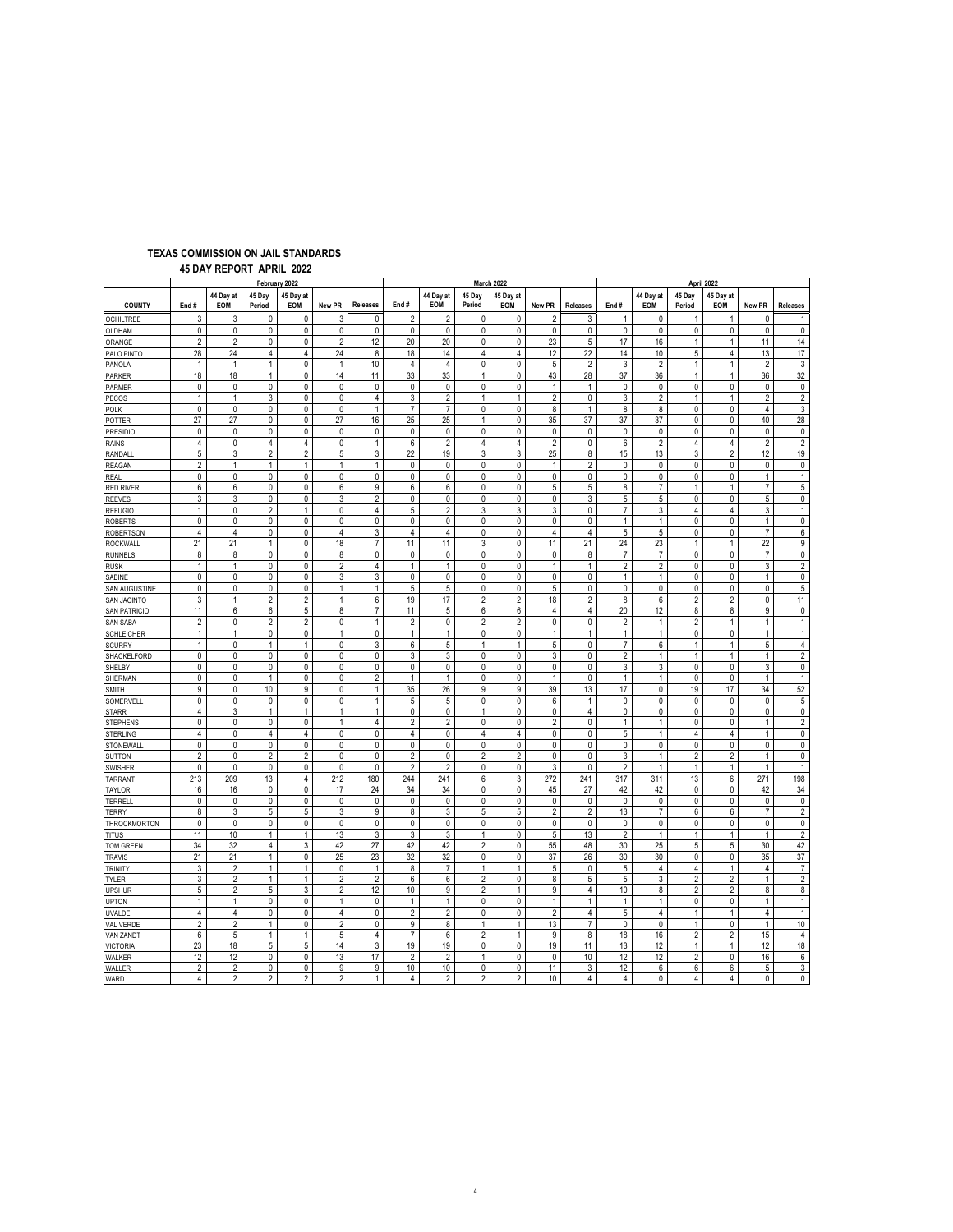|                              | February 2022      |                  |                  |                  |                |                 |                |                         |                     | March 2022          |                     | April 2022          |                 |                     |                  |                         |                |                         |
|------------------------------|--------------------|------------------|------------------|------------------|----------------|-----------------|----------------|-------------------------|---------------------|---------------------|---------------------|---------------------|-----------------|---------------------|------------------|-------------------------|----------------|-------------------------|
| <b>COUNTY</b>                | End#               | 44 Dav at<br>EOM | 45 Dav<br>Period | 45 Day at<br>EOM | New PR         | <b>Releases</b> | End#           | 44 Dav at<br><b>EOM</b> | 45 Day<br>Period    | 45 Dav at<br>EOM    | New PR              | <b>Releases</b>     | End#            | 44 Dav at<br>EOM    | 45 Dav<br>Period | 45 Day at<br>EOM        | New PR         | <b>Releases</b>         |
| <b>OCHILTREE</b>             | 3                  | 3                | 0                | 0                | 3              | 0               | $\overline{2}$ | $\overline{2}$          | 0                   | 0                   | $\overline{2}$      | 3                   | $\mathbf{1}$    | 0                   | 1                | 1                       | 0              | -1                      |
| OLDHAM                       | $\pmb{0}$          | $\pmb{0}$        | $\pmb{0}$        | $\pmb{0}$        | 0              | $\pmb{0}$       | $\pmb{0}$      | 0                       | $\pmb{0}$           | 0                   | $\pmb{0}$           | 0                   | $\pmb{0}$       | 0                   | $\pmb{0}$        | $\pmb{0}$               | $\pmb{0}$      | $\pmb{0}$               |
| ORANGE                       | $\overline{2}$     | $\overline{2}$   | $\pmb{0}$        | $\pmb{0}$        | $\overline{2}$ | 12              | 20             | 20                      | 0                   | 0                   | 23                  | 5                   | 17              | 16                  | $\mathbf{1}$     | $\mathbf{1}$            | 11             | 14                      |
| PALO PINTO                   | 28                 | 24               | $\overline{4}$   | $\overline{4}$   | 24             | 8               | 18             | 14                      | $\overline{4}$      | $\overline{4}$      | 12                  | 22                  | 14              | 10                  | 5                | $\overline{4}$          | 13             | 17                      |
| PANOLA                       | $\mathbf{1}$       | $\mathbf{1}$     | $\mathbf{1}$     | $\pmb{0}$        | $\mathbf{1}$   | 10              | 4              | 4                       | 0                   | 0                   | 5                   | 2                   | 3               | $\overline{2}$      | 1                | $\mathbf{1}$            | $\overline{2}$ | 3                       |
| PARKER                       | 18                 | 18               | $\mathbf{1}$     | $\mathbf 0$      | 14             | 11              | 33             | 33                      | $\mathbf{1}$        | $\mathbf 0$         | 43                  | 28                  | 37              | 36                  | $\mathbf{1}$     | $\mathbf{1}$            | 36             | 32                      |
| PARMER                       | $\pmb{0}$          | 0                | $\pmb{0}$        | 0                | 0              | 0               | $\pmb{0}$      | 0                       | $\mathbf 0$         | 0                   | $\mathbf{1}$        | $\mathbf{1}$        | 0               | 0                   | $\pmb{0}$        | $\pmb{0}$               | $\pmb{0}$      | $\pmb{0}$               |
| PECOS                        | $\mathbf{1}$       | $\mathbf{1}$     | 3                | 0                | $\mathbf 0$    | $\overline{4}$  | 3              | $\overline{2}$          | $\mathbf{1}$        | $\mathbf{1}$        | $\overline{2}$      | $\mathbf 0$         | 3               | $\overline{2}$      | $\mathbf{1}$     | $\mathbf{1}$            | $\overline{2}$ | $\overline{2}$          |
| POLK                         | $\pmb{0}$          | 0                | $\pmb{0}$        | $\pmb{0}$        | 0              | $\mathbf{1}$    | $\overline{7}$ | $\overline{7}$          | 0                   | $\pmb{0}$           | 8                   | 1                   | 8               | 8                   | 0                | $\pmb{0}$               | $\sqrt{4}$     | $\mathsf 3$             |
| POTTER                       | 27                 | 27               | $\pmb{0}$        | $\pmb{0}$        | 27             | 16              | 25             | 25                      | $\mathbf{1}$        | 0                   | 35                  | 37                  | 37              | 37                  | $\pmb{0}$        | $\pmb{0}$               | 40             | 28                      |
| PRESIDIO                     | $\mathbf{0}$       | $\mathbf{0}$     | $\mathbf{0}$     | $\mathbf 0$      | $\mathbf 0$    | $\mathbf 0$     | $\mathbf 0$    | $\mathbf 0$             | $\mathbf 0$         | 0                   | $\mathbf{0}$        | $\mathbf 0$         | $\mathbf{0}$    | $\mathbf 0$         | $\mathbf{0}$     | $\mathbf{0}$            | 0              | 0                       |
| RAINS                        | 4                  | $\pmb{0}$        | 4                | 4                | 0              | $\mathbf{1}$    | 6              | $\overline{2}$          | 4                   | 4                   | 2                   | 0                   | 6               | $\overline{2}$      | 4                | 4                       | $\overline{2}$ | $\overline{2}$          |
| RANDALI                      | 5                  | 3                | $\overline{2}$   | $\overline{2}$   | 5              | 3               | 22             | 19                      | 3                   | 3                   | 25                  | 8                   | 15              | 13                  | 3                | $\overline{2}$          | 12             | 19                      |
| REAGAN                       | $\overline{2}$     | $\mathbf{1}$     | $\mathbf{1}$     | $\mathbf{1}$     | $\mathbf{1}$   | $\mathbf{1}$    | 0              | 0                       | 0                   | 0                   | 1                   | $\overline{2}$      | $\pmb{0}$       | $\pmb{0}$           | $\pmb{0}$        | $\pmb{0}$               | $\pmb{0}$      | $\pmb{0}$               |
| <b>REAL</b>                  | $\pmb{0}$          | $\pmb{0}$        | $\pmb{0}$        | $\pmb{0}$        | 0              | 0               | 0              | 0                       | 0                   | 0                   | 0                   | 0                   | 0               | 0                   | $\pmb{0}$        | 0                       | $\mathbf{1}$   | 1                       |
| <b>RED RIVER</b>             | 6                  | 6                | $\mathbf 0$      | $\mathbf 0$      | 6              | 9               | 6              | 6                       | $\mathbf 0$         | $\mathbf 0$         | 5                   | 5                   | 8               | $\overline{7}$      | $\overline{1}$   | 1                       | $\overline{7}$ | 5                       |
| <b>REEVES</b>                | 3                  | 3                | 0                | 0                | 3              | $\overline{c}$  | 0              | 0                       | 0                   | 0                   | 0                   | 3                   | 5               | 5                   | 0                | $\pmb{0}$               | 5              | 0                       |
| <b>REFUGIO</b>               | $\mathbf{1}$       | 0                | $\overline{2}$   | $\mathbf{1}$     | $\mathbf 0$    | $\overline{4}$  | 5              | $\overline{2}$          | 3                   | 3                   | 3                   | 0                   | $\overline{7}$  | 3                   | 4                | 4                       | 3              | $\mathbf{1}$            |
| <b>ROBERTS</b>               | $\pmb{0}$          | $\pmb{0}$        | $\pmb{0}$        | $\pmb{0}$        | 0              | 0               | $\pmb{0}$      | 0                       | $\mathsf{O}\xspace$ | $\pmb{0}$           | 0                   | 0                   | $\mathbf{1}$    | $\mathbf{1}$        | $\pmb{0}$        | 0                       | $\mathbf{1}$   | $\pmb{0}$               |
| <b>ROBERTSON</b>             | $\overline{4}$     | 4                | $\pmb{0}$        | $\pmb{0}$        | $\overline{4}$ | 3               | 4              | 4                       | 0                   | 0                   | $\overline{4}$      | $\overline{4}$      | 5               | 5                   | $\pmb{0}$        | $\pmb{0}$               | $\overline{7}$ | 6                       |
| ROCKWAL                      | 21                 | 21               | $\mathbf{1}$     | 0                | 18             | $\overline{7}$  | 11             | 11                      | 3                   | 0                   | 11                  | 21                  | 24              | 23                  | 1                | 1                       | 22             | 9                       |
| <b>RUNNELS</b>               | 8                  | 8                | 0                | 0                | 8              | 0               | 0              | 0                       | 0                   | 0                   | 0                   | 8                   | 7               | 7                   | $\pmb{0}$        | $\pmb{0}$               | $\overline{7}$ | 0                       |
| <b>RUSK</b>                  | $\mathbf{1}$       | $\mathbf{1}$     | $\pmb{0}$        | $\pmb{0}$        | $\overline{2}$ | 4               | $\mathbf{1}$   | $\mathbf{1}$            | 0                   | 0                   | $\mathbf{1}$        | $\mathbf{1}$        | $\overline{2}$  | $\overline{2}$      | $\pmb{0}$        | 0                       | 3              | $\overline{2}$          |
| SABINE                       | $\mathbf 0$        | 0                | $\pmb{0}$        | $\pmb{0}$        | 3              | 3               | 0              | 0                       | 0                   | $\pmb{0}$           | $\pmb{0}$           | 0                   | $\mathbf{1}$    | $\mathbf{1}$        | $\pmb{0}$        | 0                       | $\mathbf{1}$   | $\overline{\mathbf{0}}$ |
| SAN AUGUSTINE                | $\pmb{0}$          | 0                | $\pmb{0}$        | 0                | $\mathbf{1}$   | 1               | 5              | 5                       | 0                   | 0                   | 5                   | 0                   | $\mathbf{0}$    | 0                   | $\pmb{0}$        | 0                       | $\pmb{0}$      | 5                       |
| SAN JACINTO                  | $\mathbf{3}$       | 1                | $\overline{2}$   | $\overline{2}$   | $\mathbf{1}$   | 6               | 19             | 17                      | $\overline{c}$      | $\overline{2}$      | 18                  | $\overline{2}$      | 8               | 6                   | $\overline{2}$   | $\overline{2}$          | $\pmb{0}$      | 11                      |
| SAN PATRICIO                 | 11                 | 6                | 6                | 5                | 8              | $\overline{7}$  | 11             | 5                       | 6                   | 6                   | 4                   | $\overline{4}$      | 20              | 12                  | 8                | 8                       | 9              | 0                       |
| <b>SAN SABA</b>              | $\overline{2}$     | $\mathbf 0$      | $\overline{2}$   | $\overline{2}$   | $\mathbf 0$    | $\mathbf{1}$    | $\overline{2}$ | 0                       | $\overline{2}$      | $\overline{2}$      | $\mathbf{0}$        | $\mathbf 0$         | $\overline{2}$  | $\mathbf{1}$        | $\overline{2}$   | $\mathbf{1}$            | $\mathbf{1}$   | $\mathbf{1}$            |
| SCHLEICHER                   | $\mathbf{1}$       | $\mathbf{1}$     | 0                | 0                | $\mathbf{1}$   | $\pmb{0}$       | $\mathbf{1}$   | $\mathbf{1}$            | $\pmb{0}$           | 0                   | 1                   | $\mathbf{1}$        | 1               | $\mathbf{1}$        | 0                | $\pmb{0}$               | $\mathbf{1}$   | $\mathbf{1}$            |
| <b>SCURRY</b>                | $\overline{1}$     | $\mathbf{0}$     | $\mathbf{1}$     | $\mathbf{1}$     | $\mathbf 0$    | 3               | 6              | 5                       | $\mathbf{1}$        | $\mathbf{1}$        | 5                   | 0                   | $\overline{7}$  | 6                   | $\mathbf{1}$     | 1                       | $\sqrt{5}$     | $\overline{4}$          |
| SHACKELFORD                  | $\pmb{0}$          | 0                | $\pmb{0}$        | $\pmb{0}$        | 0              | 0               | 3              | 3                       | 0                   | 0                   | 3                   | 0                   | $\overline{2}$  | $\mathbf{1}$        | 1                | $\mathbf{1}$            | $\mathbf{1}$   | $\sqrt{2}$              |
| SHELBY                       | $\pmb{0}$          | 0                | 0                | $\pmb{0}$        | 0              | 0               | 0              | 0                       | 0                   | 0                   | 0                   | $\pmb{0}$           | 3               | 3                   | $\pmb{0}$        | $\pmb{0}$               | 3              | 0                       |
| SHERMAN                      | $\mathbf 0$        | 0                | $\mathbf{1}$     | 0                | $\mathbf{0}$   | $\overline{2}$  | $\mathbf{1}$   | $\mathbf{1}$            | $\mathbf{0}$        | $\mathbf 0$         | 1                   | $\mathbf 0$         | $\mathbf{1}$    | $\mathbf{1}$        | $\mathbf 0$      | $\mathbf 0$             | $\mathbf{1}$   | $\mathbf{1}$            |
| SMITH                        | 9                  | 0                | 10               | 9                | 0              | $\mathbf{1}$    | 35             | 26                      | 9                   | 9                   | 39                  | 13                  | 17              | 0                   | 19               | 17                      | 34             | 52                      |
| SOMERVELL                    | $\mathbf 0$        | $\mathbf 0$      | 0                | $\mathbf 0$      | $\mathbf 0$    | $\mathbf{1}$    | 5              | 5                       | 0                   | $\mathbf{0}$        | 6                   | $\mathbf{1}$        | 0               | $\mathbf 0$         | 0                | $\mathbf 0$             | 0              | 5                       |
| <b>STARR</b>                 | 4                  | 3                | $\mathbf{1}$     | 1                | 1              | 1               | 0              | 0                       | $\mathbf{1}$        | 0                   | 0                   | $\overline{4}$      | 0               | 0                   | $\pmb{0}$        | $\pmb{0}$               | $\overline{0}$ | $\pmb{0}$               |
| <b>STEPHENS</b>              | $\mathbf 0$        | 0                | 0                | 0                | $\mathbf{1}$   | $\overline{4}$  | $\overline{2}$ | $\overline{2}$          | 0                   | 0                   | $\overline{2}$      | 0                   | $\mathbf{1}$    | $\mathbf{1}$        | 0                | $\mathbf 0$             | $\mathbf{1}$   | $\overline{2}$          |
| <b>STERLING</b>              | 4                  | 0                | $\overline{4}$   | 4                | 0              | $\mathbf{0}$    | 4              | 0                       | $\overline{4}$      | $\overline{4}$      | 0                   | 0                   | 5               | $\mathbf{1}$        | 4                | 4                       | $\mathbf{1}$   | $\mathbf{0}$            |
| STONEWALI                    | $\pmb{0}$          | 0                | $\pmb{0}$        | $\pmb{0}$        | 0              | 0               | 0              | 0                       | 0                   | 0                   | 0                   | 0                   | 0               | 0                   | $\pmb{0}$        | $\pmb{0}$               | 0              | 0                       |
| <b>SUTTON</b>                | $\overline{2}$     | $\pmb{0}$        | $\overline{2}$   | $\overline{2}$   | 0              | 0               | $\overline{2}$ | 0                       | $\overline{2}$      | $\overline{2}$      | $\pmb{0}$           | $\mathbf 0$         | 3               | $\mathbf{1}$        | $\overline{2}$   | $\overline{2}$          | $\mathbf{1}$   | 0                       |
| <b>SWISHER</b>               | $\pmb{0}$          | $\pmb{0}$        | $\pmb{0}$        | $\pmb{0}$        | 0              | $\pmb{0}$       | $\overline{2}$ | $\overline{2}$          | 0                   | $\mathsf{O}\xspace$ | 3                   | 0                   | $\overline{2}$  | $\mathbf{1}$        | $\mathbf{1}$     | $\mathbf{1}$            | $\mathbf{1}$   | $\mathbf{1}$            |
| <b>TARRAN1</b>               | 213                | 209              | 13               | 4                | 212            | 180             | 244            | 241                     | 6                   | 3                   | 272                 | 241                 | 317             | 311                 | 13               | 6<br>$\mathbf 0$        | 271            | 198                     |
| TAYLOR                       | 16<br>$\mathbf{0}$ | 16<br>0          | $\pmb{0}$<br>0   | $\pmb{0}$        | 17             | 24              | 34             | 34                      | $\pmb{0}$           | $\pmb{0}$           | 45                  | 27                  | 42<br>0         | 42                  | $\pmb{0}$<br>0   | 0                       | 42<br>0        | 34<br>0                 |
| TERRELI                      | 8                  | 3                | $\sqrt{5}$       | 0<br>5           | 0<br>3         | 0<br>9          | 0<br>8         | 0<br>3                  | 0<br>5              | 0<br>5              | 0<br>$\overline{2}$ | 0<br>$\overline{2}$ | 13              | 0<br>$\overline{7}$ | 6                | 6                       | $\overline{7}$ | $\overline{2}$          |
| <b>TERRY</b><br>THROCKMORTON | $\pmb{0}$          | $\pmb{0}$        | $\pmb{0}$        | $\pmb{0}$        | 0              | 0               | 0              | 0                       | $\pmb{0}$           | $\pmb{0}$           | $\pmb{0}$           | 0                   | $\pmb{0}$       | 0                   | $\pmb{0}$        | $\pmb{0}$               | $\pmb{0}$      | $\pmb{0}$               |
| <b>TITUS</b>                 | 11                 | 10               | $\mathbf{1}$     | $\mathbf{1}$     | 13             | 3               | 3              | 3                       | $\mathbf{1}$        | $\mathbf{0}$        | 5                   | 13                  | 2               | $\mathbf{1}$        | 1                | $\mathbf{1}$            | $\mathbf{1}$   | $\sqrt{2}$              |
| <b>TOM GREEN</b>             | 34                 | 32               | $\sqrt{4}$       | 3                | 42             | 27              | 42             | 42                      | $\overline{2}$      | 0                   | 55                  | 48                  | 30              | 25                  | 5                | 5                       | 30             | 42                      |
|                              | 21                 | 21               | $\mathbf{1}$     | $\pmb{0}$        | 25             | 23              | 32             | 32                      | 0                   | 0                   | 37                  | 26                  | 30              | 30                  | $\pmb{0}$        | 0                       | 35             | 37                      |
| TRAVIS<br><b>TRINITY</b>     | 3                  | $\overline{2}$   | $\mathbf{1}$     | $\mathbf{1}$     | $\mathbf 0$    | $\mathbf{1}$    | 8              | $\overline{7}$          | $\mathbf{1}$        | $\mathbf{1}$        | 5                   | 0                   | 5               | $\overline{4}$      | $\overline{4}$   | 1                       | $\overline{4}$ | $\overline{7}$          |
| TYLER                        | 3                  | $\overline{2}$   | $\mathbf{1}$     | 1                | $\overline{2}$ | $\overline{2}$  | 6              | 6                       | $\overline{2}$      | 0                   | 8                   | 5                   | $5\phantom{.0}$ | 3                   | $\overline{2}$   | 2                       | $\mathbf{1}$   | $\overline{2}$          |
| <b>JPSHUR</b>                | 5                  | $\overline{2}$   | 5                | 3                | $\overline{2}$ | 12              | 10             | 9                       | $\overline{2}$      | $\mathbf{1}$        | 9                   | $\overline{4}$      | 10              | 8                   | $\overline{2}$   | $\overline{2}$          | 8              | 8                       |
| <b>JPTON</b>                 | $\mathbf{1}$       | $\mathbf{1}$     | $\pmb{0}$        | $\pmb{0}$        | $\mathbf{1}$   | 0               | $\mathbf{1}$   | $\mathbf{1}$            | 0                   | $\pmb{0}$           | $\mathbf{1}$        | $\mathbf{1}$        | $\mathbf{1}$    | $\mathbf{1}$        | $\pmb{0}$        | $\pmb{0}$               | $\mathbf{1}$   | $\mathbf{1}$            |
| UVALDE                       | $\overline{4}$     | $\overline{4}$   | 0                | 0                | 4              | $\mathbf 0$     | $\overline{2}$ | $\overline{2}$          | $\mathbf{0}$        | $\mathbf{0}$        | $\overline{2}$      | 4                   | 5               | $\overline{4}$      | $\mathbf{1}$     | 1                       | $\overline{4}$ | $\mathbf{1}$            |
| VAL VERDE                    | $\overline{2}$     | $\overline{2}$   | $\mathbf{1}$     | $\mathbf 0$      | $\overline{2}$ | $\mathbf 0$     | 9              | 8                       | $\mathbf{1}$        | $\mathbf{1}$        | 13                  | $\overline{7}$      | 0               | 0                   | $\mathbf{1}$     | $\mathbf{0}$            | $\mathbf{1}$   | 10                      |
| <b>VAN ZANDT</b>             | 6                  | 5                | $\mathbf{1}$     | $\mathbf{1}$     | 5              | 4               | $\overline{7}$ | 6                       | $\overline{c}$      | $\mathbf{1}$        | 9                   | 8                   | 18              | 16                  | $\sqrt{2}$       | $\overline{\mathbf{c}}$ | 15             | $\overline{4}$          |
| <b>VICTORIA</b>              | 23                 | 18               | $\sqrt{5}$       | 5                | 14             | 3               | 19             | 19                      | 0                   | 0                   | 19                  | 11                  | 13              | 12                  | 1                | 1                       | 12             | 18                      |
| WALKER                       | 12                 | 12               | $\pmb{0}$        | $\pmb{0}$        | 13             | 17              | $\sqrt{2}$     | $\overline{\mathbf{c}}$ | $\mathbf{1}$        | 0                   | $\pmb{0}$           | 10                  | 12              | 12                  | $\sqrt{2}$       | $\pmb{0}$               | 16             | 6                       |
| WALLER                       | $\overline{2}$     | 2                | 0                | 0                | 9              | 9               | 10             | 10                      | 0                   | $\mathbf{0}$        | 11                  | 3                   | 12              | 6                   | 6                | 6                       | 5              | 3                       |
| WARD                         | $\overline{4}$     | $\overline{2}$   | $\overline{2}$   | $\overline{c}$   | $\overline{2}$ | $\mathbf{1}$    | $\overline{4}$ | $\overline{2}$          | $\overline{2}$      | $\overline{2}$      | 10                  | 4                   | $\overline{4}$  | 0                   | $\overline{4}$   | 4                       | $\mathbf 0$    | $\pmb{0}$               |
|                              |                    |                  |                  |                  |                |                 |                |                         |                     |                     |                     |                     |                 |                     |                  |                         |                |                         |

### **45 DAY REPORT APRIL 2022 TEXAS COMMISSION ON JAIL STANDARDS**